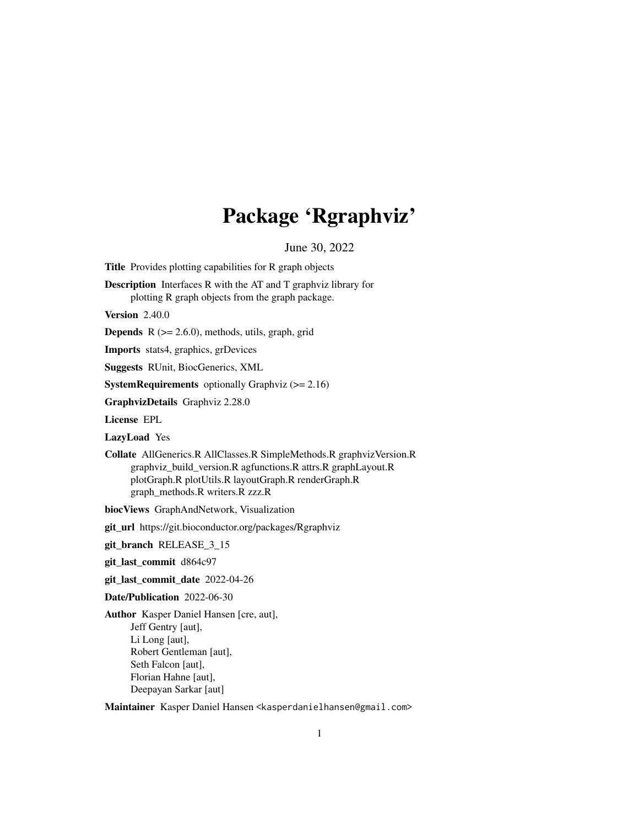# Package 'Rgraphviz'

June 30, 2022

<span id="page-0-0"></span>Title Provides plotting capabilities for R graph objects

Description Interfaces R with the AT and T graphviz library for plotting R graph objects from the graph package.

**Version** 2.40.0

**Depends**  $R$  ( $>= 2.6.0$ ), methods, utils, graph, grid

Imports stats4, graphics, grDevices

Suggests RUnit, BiocGenerics, XML

**SystemRequirements** optionally Graphviz  $(>= 2.16)$ 

GraphvizDetails Graphviz 2.28.0

License EPL

LazyLoad Yes

Collate AllGenerics.R AllClasses.R SimpleMethods.R graphvizVersion.R graphviz\_build\_version.R agfunctions.R attrs.R graphLayout.R plotGraph.R plotUtils.R layoutGraph.R renderGraph.R graph\_methods.R writers.R zzz.R

biocViews GraphAndNetwork, Visualization

git\_url https://git.bioconductor.org/packages/Rgraphviz

git\_branch RELEASE\_3\_15

git\_last\_commit d864c97

git\_last\_commit\_date 2022-04-26

Date/Publication 2022-06-30

Author Kasper Daniel Hansen [cre, aut], Jeff Gentry [aut], Li Long [aut], Robert Gentleman [aut], Seth Falcon [aut], Florian Hahne [aut], Deepayan Sarkar [aut]

Maintainer Kasper Daniel Hansen <kasperdanielhansen@gmail.com>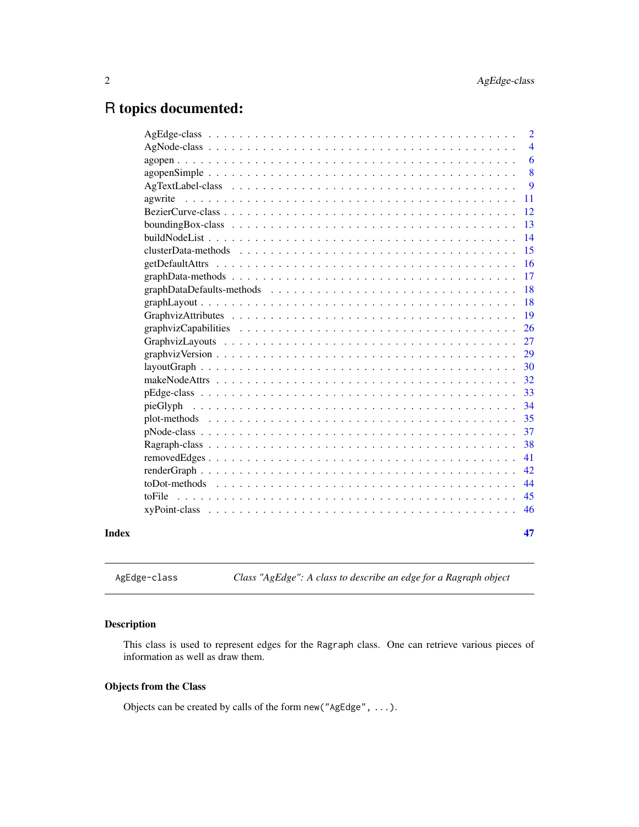# <span id="page-1-0"></span>R topics documented:

|                                                                                                                     | $\overline{2}$ |
|---------------------------------------------------------------------------------------------------------------------|----------------|
|                                                                                                                     | $\overline{4}$ |
|                                                                                                                     | 6              |
|                                                                                                                     | 8              |
|                                                                                                                     | 9              |
| agwrite                                                                                                             | 11             |
|                                                                                                                     | 12             |
|                                                                                                                     | 13             |
|                                                                                                                     | 14             |
|                                                                                                                     | 15             |
|                                                                                                                     | 16             |
|                                                                                                                     | 17             |
|                                                                                                                     | 18             |
|                                                                                                                     | 18             |
|                                                                                                                     | 19             |
|                                                                                                                     | 26             |
|                                                                                                                     | 27             |
|                                                                                                                     | 29             |
| $layoutGraph \dots \dots \dots \dots \dots \dots \dots \dots \dots \dots \dots \dots \dots \dots \dots \dots \dots$ | 30             |
|                                                                                                                     | 32             |
|                                                                                                                     | 33             |
|                                                                                                                     | 34             |
|                                                                                                                     | 35             |
| $pNode-class \dots \dots \dots \dots \dots \dots \dots \dots \dots \dots \dots \dots \dots \dots \dots \dots \dots$ | 37             |
|                                                                                                                     | 38             |
|                                                                                                                     | 41             |
|                                                                                                                     | 42             |
|                                                                                                                     | 44             |
| toFile                                                                                                              | 45             |
|                                                                                                                     | 46             |
|                                                                                                                     | 47             |
|                                                                                                                     |                |

<span id="page-1-1"></span>AgEdge-class *Class "AgEdge": A class to describe an edge for a Ragraph object*

# Description

This class is used to represent edges for the Ragraph class. One can retrieve various pieces of information as well as draw them.

# Objects from the Class

Objects can be created by calls of the form new("AgEdge", ...).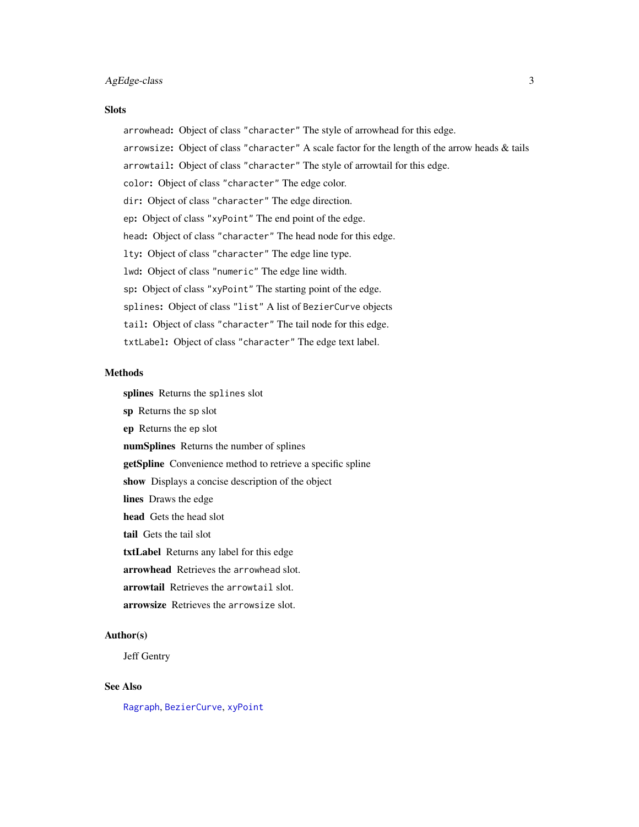# <span id="page-2-0"></span>AgEdge-class 3

#### **Slots**

arrowhead: Object of class "character" The style of arrowhead for this edge.

- arrowsize: Object of class "character" A scale factor for the length of the arrow heads & tails
- arrowtail: Object of class "character" The style of arrowtail for this edge.
- color: Object of class "character" The edge color.
- dir: Object of class "character" The edge direction.
- ep: Object of class "xyPoint" The end point of the edge.
- head: Object of class "character" The head node for this edge.
- lty: Object of class "character" The edge line type.
- lwd: Object of class "numeric" The edge line width.
- sp: Object of class "xyPoint" The starting point of the edge.
- splines: Object of class "list" A list of BezierCurve objects
- tail: Object of class "character" The tail node for this edge.
- txtLabel: Object of class "character" The edge text label.

#### Methods

splines Returns the splines slot

- sp Returns the sp slot
- ep Returns the ep slot
- numSplines Returns the number of splines
- getSpline Convenience method to retrieve a specific spline
- show Displays a concise description of the object
- lines Draws the edge
- head Gets the head slot
- tail Gets the tail slot
- txtLabel Returns any label for this edge
- arrowhead Retrieves the arrowhead slot.
- arrowtail Retrieves the arrowtail slot.
- arrowsize Retrieves the arrowsize slot.

#### Author(s)

Jeff Gentry

# See Also

[Ragraph](#page-37-1), [BezierCurve](#page-11-1), [xyPoint](#page-45-1)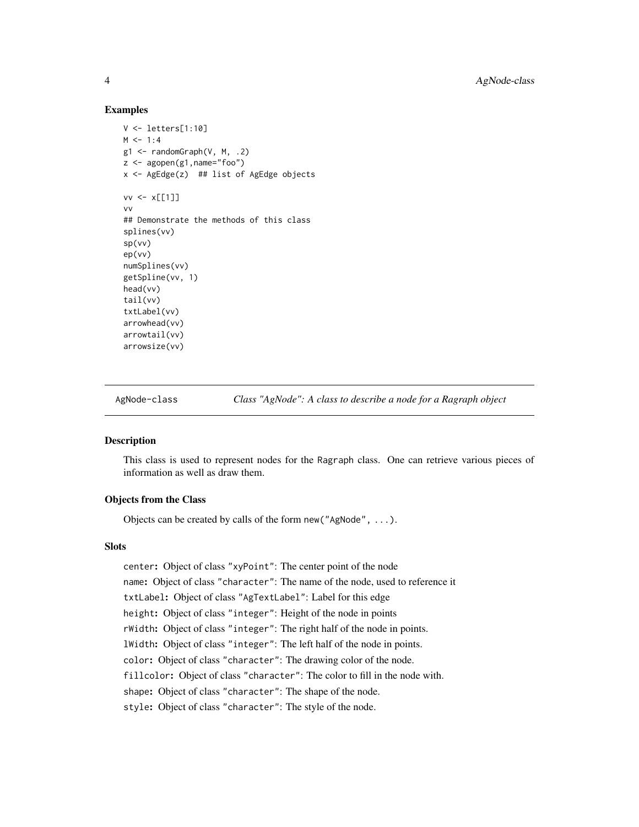#### Examples

```
V <- letters[1:10]
M < -1:4g1 \leq - randomGraph(V, M, .2)
z \leq - agopen(g1, name="foo")
x \leq - AgEdge(z) ## list of AgEdge objects
vv \leftarrow x[[1]]vv
## Demonstrate the methods of this class
splines(vv)
sp(vv)
ep(vv)
numSplines(vv)
getSpline(vv, 1)
head(vv)
tail(vv)
txtLabel(vv)
arrowhead(vv)
arrowtail(vv)
arrowsize(vv)
```
<span id="page-3-1"></span>AgNode-class *Class "AgNode": A class to describe a node for a Ragraph object*

# <span id="page-3-2"></span>Description

This class is used to represent nodes for the Ragraph class. One can retrieve various pieces of information as well as draw them.

# Objects from the Class

Objects can be created by calls of the form new("AgNode", ...).

#### **Slots**

center: Object of class "xyPoint": The center point of the node name: Object of class "character": The name of the node, used to reference it txtLabel: Object of class "AgTextLabel": Label for this edge height: Object of class "integer": Height of the node in points rWidth: Object of class "integer": The right half of the node in points. lWidth: Object of class "integer": The left half of the node in points. color: Object of class "character": The drawing color of the node. fillcolor: Object of class "character": The color to fill in the node with. shape: Object of class "character": The shape of the node. style: Object of class "character": The style of the node.

<span id="page-3-0"></span>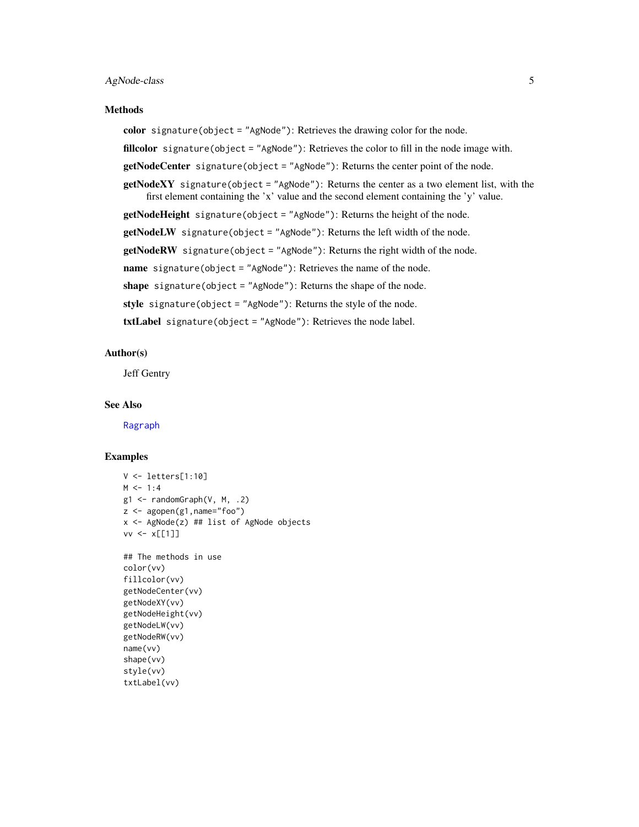#### <span id="page-4-0"></span>AgNode-class 5

#### Methods

color signature(object = "AgNode"): Retrieves the drawing color for the node.

fillcolor signature(object = "AgNode"): Retrieves the color to fill in the node image with.

getNodeCenter signature(object = "AgNode"): Returns the center point of the node.

 $getNodeXY$  signature(object = "AgNode"): Returns the center as a two element list, with the first element containing the 'x' value and the second element containing the 'y' value.

getNodeHeight signature(object = "AgNode"): Returns the height of the node.

getNodeLW signature(object = "AgNode"): Returns the left width of the node.

getNodeRW signature(object = "AgNode"): Returns the right width of the node.

name signature(object = "AgNode"): Retrieves the name of the node.

shape signature(object = "AgNode"): Returns the shape of the node.

style signature(object = "AgNode"): Returns the style of the node.

txtLabel signature(object = "AgNode"): Retrieves the node label.

#### Author(s)

Jeff Gentry

#### See Also

[Ragraph](#page-37-1)

```
V <- letters[1:10]
M < -1:4g1 <- randomGraph(V, M, .2)
z <- agopen(g1,name="foo")
x <- AgNode(z) ## list of AgNode objects
vv <- x[[1]]
## The methods in use
color(vv)
fillcolor(vv)
getNodeCenter(vv)
getNodeXY(vv)
getNodeHeight(vv)
getNodeLW(vv)
getNodeRW(vv)
name(vv)
shape(vv)
style(vv)
txtLabel(vv)
```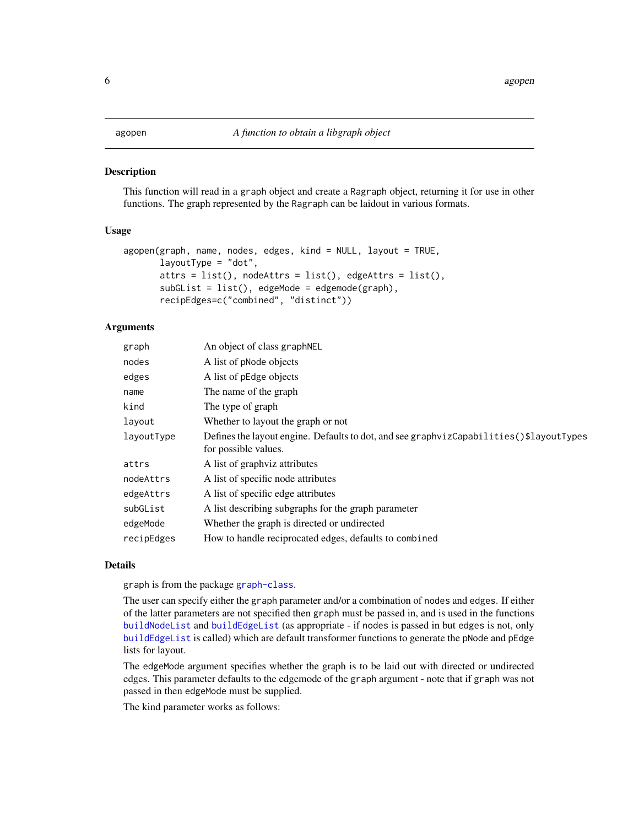## <span id="page-5-1"></span><span id="page-5-0"></span>**Description**

This function will read in a graph object and create a Ragraph object, returning it for use in other functions. The graph represented by the Ragraph can be laidout in various formats.

# Usage

```
agopen(graph, name, nodes, edges, kind = NULL, layout = TRUE,
       layoutType = "dot",
       attrs = list(), nodeAttrs = list(), edgeAttrs = list(),
       subGList = list(), edgeMode = edgemode(graph),
       recipEdges=c("combined", "distinct"))
```
#### Arguments

| An object of class graph NEL                                                                                     |
|------------------------------------------------------------------------------------------------------------------|
| A list of pNode objects                                                                                          |
| A list of pEdge objects                                                                                          |
| The name of the graph                                                                                            |
| The type of graph                                                                                                |
| Whether to layout the graph or not                                                                               |
| Defines the layout engine. Defaults to dot, and see graphvizCapabilities ()\$layoutTypes<br>for possible values. |
| A list of graphyiz attributes                                                                                    |
| A list of specific node attributes                                                                               |
| A list of specific edge attributes                                                                               |
| A list describing subgraphs for the graph parameter                                                              |
| Whether the graph is directed or undirected                                                                      |
| How to handle reciprocated edges, defaults to combined                                                           |
|                                                                                                                  |

#### Details

graph is from the package [graph-class](#page-0-0).

The user can specify either the graph parameter and/or a combination of nodes and edges. If either of the latter parameters are not specified then graph must be passed in, and is used in the functions [buildNodeList](#page-13-1) and [buildEdgeList](#page-13-2) (as appropriate - if nodes is passed in but edges is not, only [buildEdgeList](#page-13-2) is called) which are default transformer functions to generate the pNode and pEdge lists for layout.

The edgeMode argument specifies whether the graph is to be laid out with directed or undirected edges. This parameter defaults to the edgemode of the graph argument - note that if graph was not passed in then edgeMode must be supplied.

The kind parameter works as follows: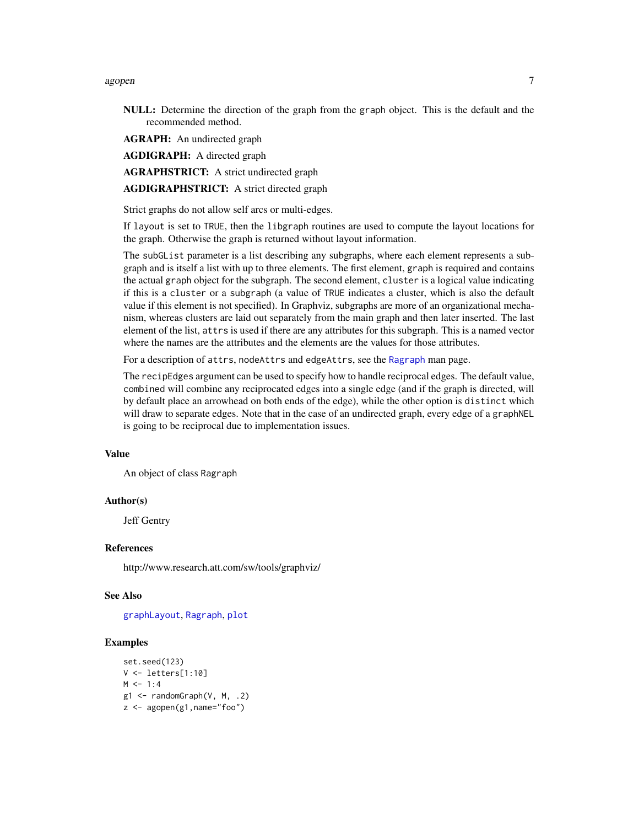#### <span id="page-6-0"></span>agopen 7 and 2008 and 2008 and 2008 and 2008 and 2008 and 2008 and 2008 and 2008 and 2008 and 2008 and 2008 and 2008 and 2008 and 2008 and 2008 and 2008 and 2008 and 2008 and 2008 and 2008 and 2008 and 2008 and 2008 and 20

NULL: Determine the direction of the graph from the graph object. This is the default and the recommended method.

AGRAPH: An undirected graph

AGDIGRAPH: A directed graph

AGRAPHSTRICT: A strict undirected graph

AGDIGRAPHSTRICT: A strict directed graph

Strict graphs do not allow self arcs or multi-edges.

If layout is set to TRUE, then the libgraph routines are used to compute the layout locations for the graph. Otherwise the graph is returned without layout information.

The subGList parameter is a list describing any subgraphs, where each element represents a subgraph and is itself a list with up to three elements. The first element, graph is required and contains the actual graph object for the subgraph. The second element, cluster is a logical value indicating if this is a cluster or a subgraph (a value of TRUE indicates a cluster, which is also the default value if this element is not specified). In Graphviz, subgraphs are more of an organizational mechanism, whereas clusters are laid out separately from the main graph and then later inserted. The last element of the list, attrs is used if there are any attributes for this subgraph. This is a named vector where the names are the attributes and the elements are the values for those attributes.

For a description of attrs, nodeAttrs and edgeAttrs, see the [Ragraph](#page-37-1) man page.

The recipEdges argument can be used to specify how to handle reciprocal edges. The default value, combined will combine any reciprocated edges into a single edge (and if the graph is directed, will by default place an arrowhead on both ends of the edge), while the other option is distinct which will draw to separate edges. Note that in the case of an undirected graph, every edge of a graphNEL is going to be reciprocal due to implementation issues.

#### Value

An object of class Ragraph

#### Author(s)

Jeff Gentry

#### **References**

http://www.research.att.com/sw/tools/graphviz/

#### See Also

[graphLayout](#page-17-1), [Ragraph](#page-37-1), [plot](#page-0-0)

```
set.seed(123)
V <- letters[1:10]
M < -1:4g1 \leq - \text{randomGraph}(V, M, .2)z <- agopen(g1,name="foo")
```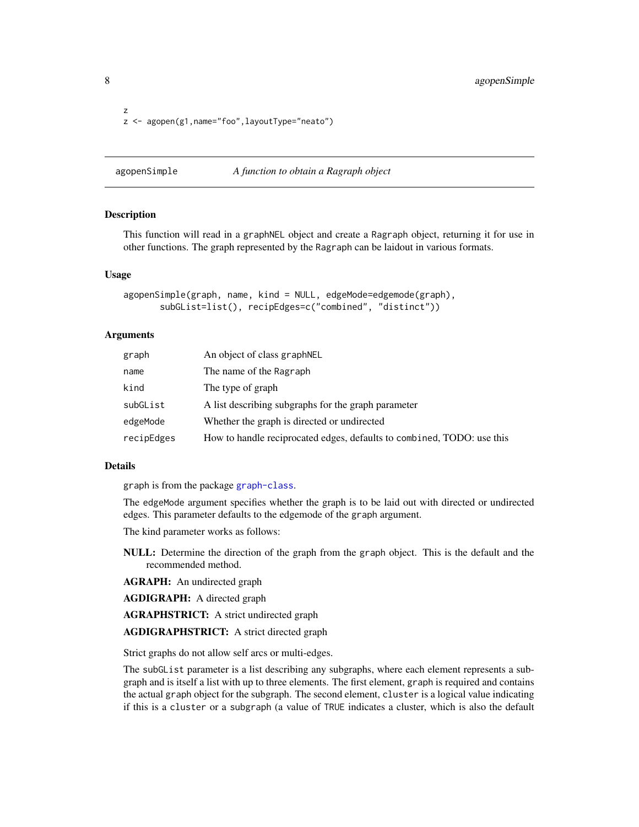<span id="page-7-0"></span>8 agopenSimple

```
z
z <- agopen(g1,name="foo",layoutType="neato")
```
agopenSimple *A function to obtain a Ragraph object*

#### **Description**

This function will read in a graphNEL object and create a Ragraph object, returning it for use in other functions. The graph represented by the Ragraph can be laidout in various formats.

#### Usage

```
agopenSimple(graph, name, kind = NULL, edgeMode=edgemode(graph),
       subGList=list(), recipEdges=c("combined", "distinct"))
```
#### Arguments

| graph      | An object of class graphNEL                                            |
|------------|------------------------------------------------------------------------|
| name       | The name of the Ragraph                                                |
| kind       | The type of graph                                                      |
| subGList   | A list describing subgraphs for the graph parameter                    |
| edgeMode   | Whether the graph is directed or undirected                            |
| recipEdges | How to handle reciprocated edges, defaults to combined, TODO: use this |

#### Details

graph is from the package [graph-class](#page-0-0).

The edgeMode argument specifies whether the graph is to be laid out with directed or undirected edges. This parameter defaults to the edgemode of the graph argument.

The kind parameter works as follows:

NULL: Determine the direction of the graph from the graph object. This is the default and the recommended method.

AGRAPH: An undirected graph

AGDIGRAPH: A directed graph

AGRAPHSTRICT: A strict undirected graph

# AGDIGRAPHSTRICT: A strict directed graph

Strict graphs do not allow self arcs or multi-edges.

The subGList parameter is a list describing any subgraphs, where each element represents a subgraph and is itself a list with up to three elements. The first element, graph is required and contains the actual graph object for the subgraph. The second element, cluster is a logical value indicating if this is a cluster or a subgraph (a value of TRUE indicates a cluster, which is also the default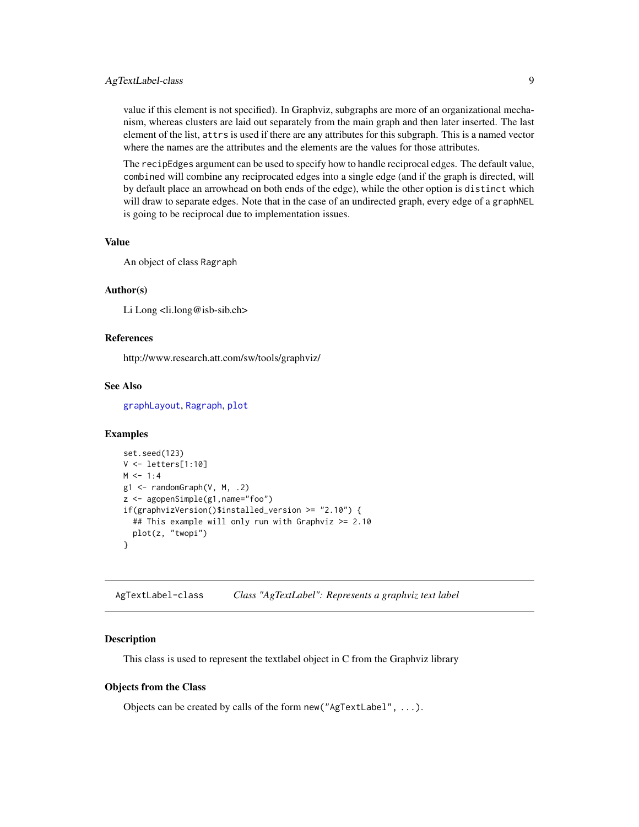# <span id="page-8-0"></span>AgTextLabel-class 9

value if this element is not specified). In Graphviz, subgraphs are more of an organizational mechanism, whereas clusters are laid out separately from the main graph and then later inserted. The last element of the list, attrs is used if there are any attributes for this subgraph. This is a named vector where the names are the attributes and the elements are the values for those attributes.

The recipEdges argument can be used to specify how to handle reciprocal edges. The default value, combined will combine any reciprocated edges into a single edge (and if the graph is directed, will by default place an arrowhead on both ends of the edge), while the other option is distinct which will draw to separate edges. Note that in the case of an undirected graph, every edge of a graphNEL is going to be reciprocal due to implementation issues.

#### Value

An object of class Ragraph

# Author(s)

Li Long <li.long@isb-sib.ch>

# References

http://www.research.att.com/sw/tools/graphviz/

#### See Also

[graphLayout](#page-17-1), [Ragraph](#page-37-1), [plot](#page-0-0)

#### Examples

```
set.seed(123)
V <- letters[1:10]
M < -1:4g1 \leftarrow \text{randomGraph}(V, M, .2)z <- agopenSimple(g1,name="foo")
if(graphvizVersion()$installed_version >= "2.10") {
  ## This example will only run with Graphviz >= 2.10
  plot(z, "twopi")
}
```
AgTextLabel-class *Class "AgTextLabel": Represents a graphviz text label*

#### Description

This class is used to represent the textlabel object in C from the Graphviz library

#### Objects from the Class

Objects can be created by calls of the form new("AgTextLabel", ...).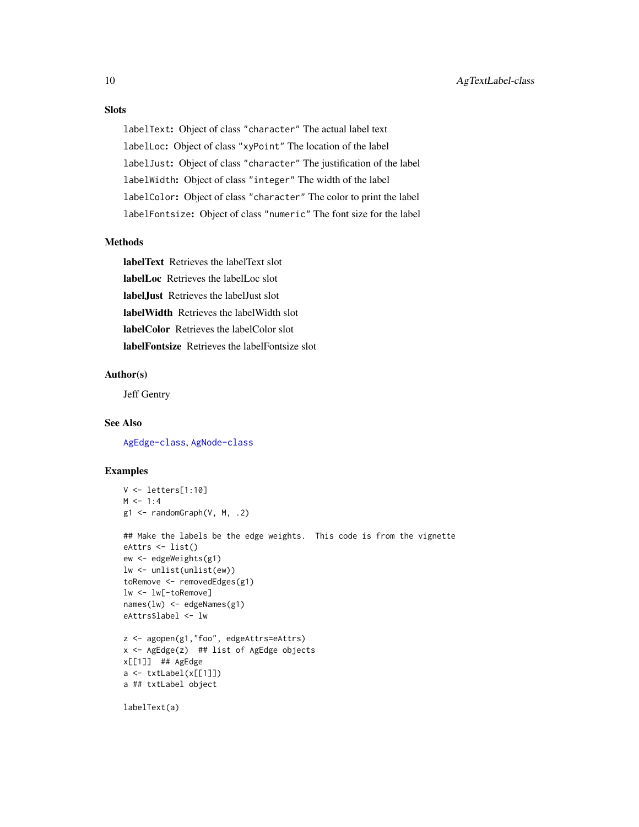# Slots

labelText: Object of class "character" The actual label text labelLoc: Object of class "xyPoint" The location of the label labelJust: Object of class "character" The justification of the label labelWidth: Object of class "integer" The width of the label labelColor: Object of class "character" The color to print the label labelFontsize: Object of class "numeric" The font size for the label

#### Methods

labelText Retrieves the labelText slot labelLoc Retrieves the labelLoc slot labelJust Retrieves the labelJust slot labelWidth Retrieves the labelWidth slot labelColor Retrieves the labelColor slot labelFontsize Retrieves the labelFontsize slot

#### Author(s)

Jeff Gentry

#### See Also

[AgEdge-class](#page-1-1), [AgNode-class](#page-3-1)

```
V <- letters[1:10]
M < -1:4g1 <- randomGraph(V, M, .2)
## Make the labels be the edge weights. This code is from the vignette
eAttrs <- list()
ew <- edgeWeights(g1)
lw <- unlist(unlist(ew))
toRemove <- removedEdges(g1)
lw <- lw[-toRemove]
names(lw) <- edgeNames(g1)
eAttrs$label <- lw
z <- agopen(g1,"foo", edgeAttrs=eAttrs)
x <- AgEdge(z) ## list of AgEdge objects
x[[1]] ## AgEdge
a <- txtLabel(x[[1]])
a ## txtLabel object
labelText(a)
```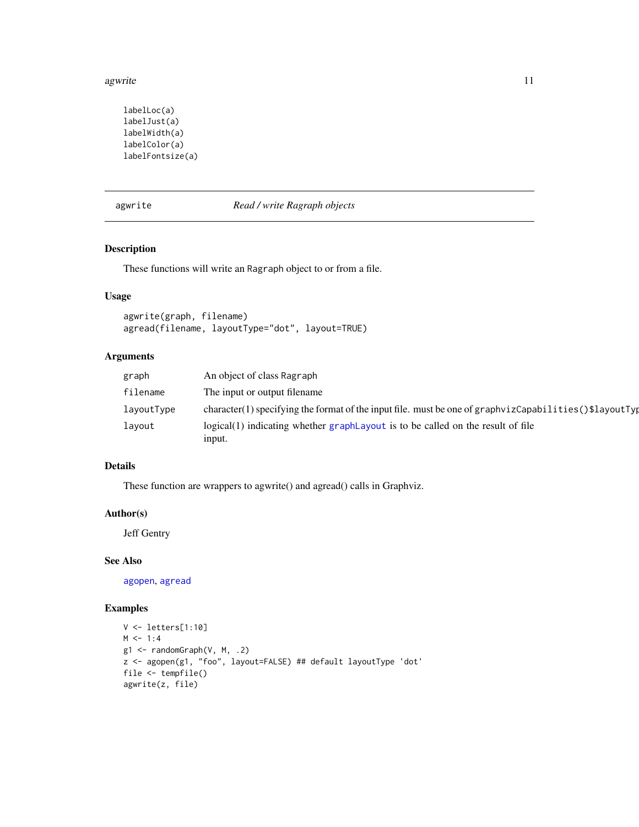#### <span id="page-10-0"></span>agwrite the contract of the contract of the contract of the contract of the contract of the contract of the contract of the contract of the contract of the contract of the contract of the contract of the contract of the co

```
labelLoc(a)
labelJust(a)
labelWidth(a)
labelColor(a)
labelFontsize(a)
```
#### <span id="page-10-2"></span>agwrite *Read / write Ragraph objects*

# <span id="page-10-1"></span>Description

These functions will write an Ragraph object to or from a file.

# Usage

```
agwrite(graph, filename)
agread(filename, layoutType="dot", layout=TRUE)
```
# Arguments

| graph      | An object of class Ragraph                                                                             |
|------------|--------------------------------------------------------------------------------------------------------|
| filename   | The input or output filename                                                                           |
| layoutType | character(1) specifying the format of the input file. must be one of graphyizCapabilities()\$layoutTyp |
| layout     | logical(1) indicating whether graph Layout is to be called on the result of file<br>input.             |

# Details

These function are wrappers to agwrite() and agread() calls in Graphviz.

# Author(s)

Jeff Gentry

# See Also

[agopen](#page-5-1), [agread](#page-10-1)

```
V <- letters[1:10]
M < -1:4g1 \leftarrow \text{randomGraph}(V, M, .2)z <- agopen(g1, "foo", layout=FALSE) ## default layoutType 'dot'
file <- tempfile()
agwrite(z, file)
```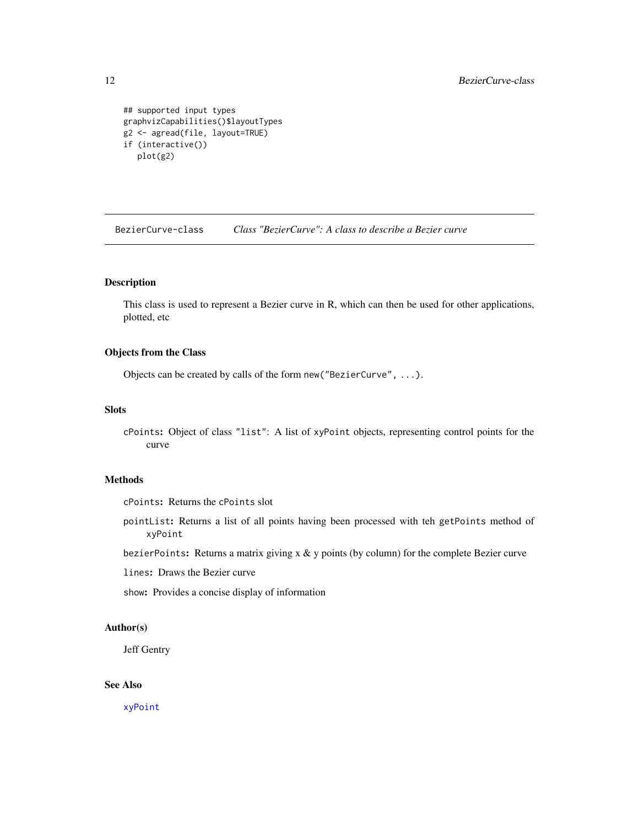```
## supported input types
graphvizCapabilities()$layoutTypes
g2 <- agread(file, layout=TRUE)
if (interactive())
  plot(g2)
```
BezierCurve-class *Class "BezierCurve": A class to describe a Bezier curve*

# <span id="page-11-1"></span>Description

This class is used to represent a Bezier curve in R, which can then be used for other applications, plotted, etc

#### Objects from the Class

Objects can be created by calls of the form new("BezierCurve", ...).

#### Slots

cPoints: Object of class "list": A list of xyPoint objects, representing control points for the curve

# Methods

cPoints: Returns the cPoints slot

pointList: Returns a list of all points having been processed with teh getPoints method of xyPoint

bezierPoints: Returns a matrix giving  $x \& y$  points (by column) for the complete Bezier curve

lines: Draws the Bezier curve

show: Provides a concise display of information

# Author(s)

Jeff Gentry

# See Also

[xyPoint](#page-45-1)

<span id="page-11-0"></span>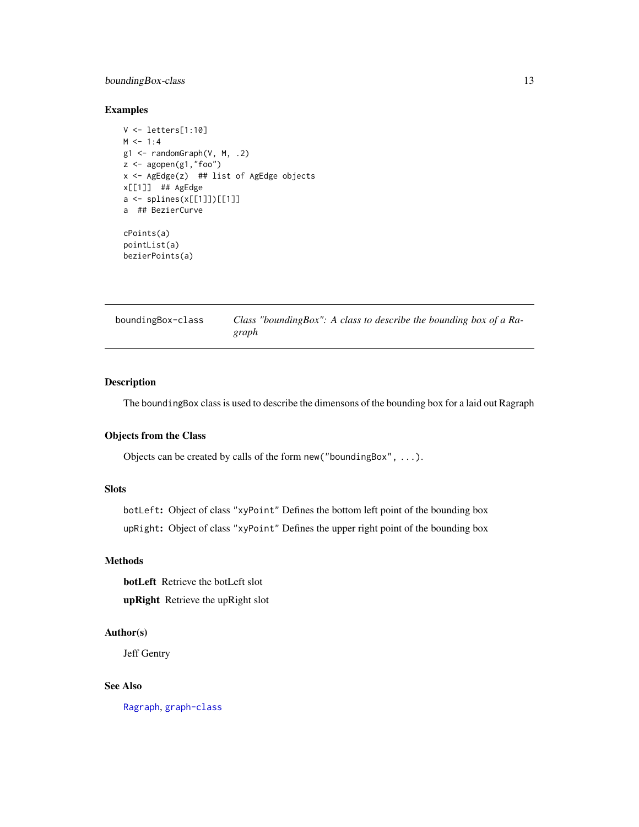# <span id="page-12-0"></span>boundingBox-class 13

# Examples

```
V <- letters[1:10]
M < -1:4g1 <- randomGraph(V, M, .2)
z \leftarrow agopen(g1, "foo")x <- AgEdge(z) ## list of AgEdge objects
x[[1]] ## AgEdge
a <- splines(x[[1]])[[1]]
a ## BezierCurve
cPoints(a)
pointList(a)
bezierPoints(a)
```

| boundingBox-class | Class "bounding Box": A class to describe the bounding box of a Ra- |
|-------------------|---------------------------------------------------------------------|
|                   | graph                                                               |

# Description

The boundingBox class is used to describe the dimensons of the bounding box for a laid out Ragraph

# Objects from the Class

Objects can be created by calls of the form new("boundingBox", ...).

# Slots

botLeft: Object of class "xyPoint" Defines the bottom left point of the bounding box upRight: Object of class "xyPoint" Defines the upper right point of the bounding box

# Methods

botLeft Retrieve the botLeft slot upRight Retrieve the upRight slot

# Author(s)

Jeff Gentry

#### See Also

[Ragraph](#page-37-1), [graph-class](#page-0-0)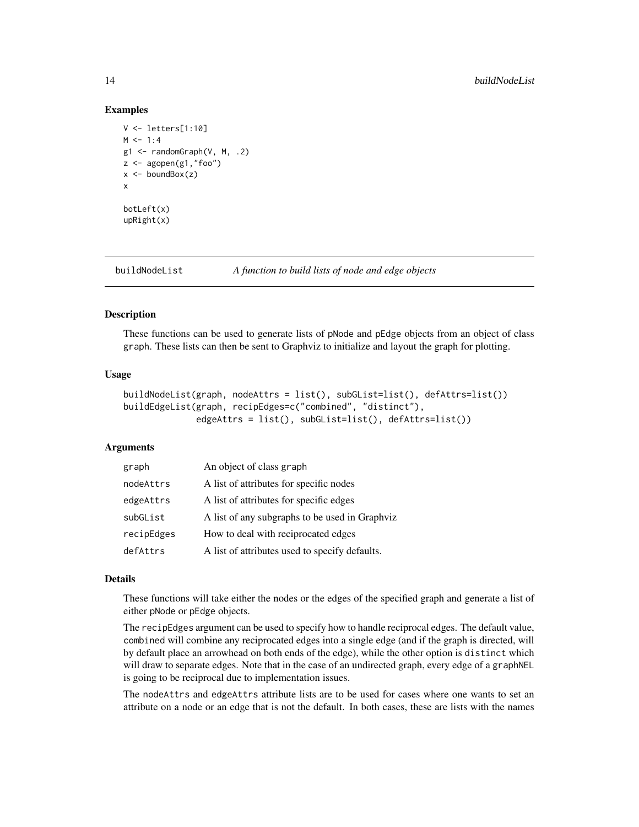#### Examples

```
V <- letters[1:10]
M < -1:4g1 \leq - randomGraph(V, M, .2)
z \leftarrow agopen(g1, "foo")x \leftarrow \text{boundBox}(z)x
botLeft(x)
upRight(x)
```
<span id="page-13-1"></span>buildNodeList *A function to build lists of node and edge objects*

#### <span id="page-13-2"></span>Description

These functions can be used to generate lists of pNode and pEdge objects from an object of class graph. These lists can then be sent to Graphviz to initialize and layout the graph for plotting.

#### Usage

```
buildNodeList(graph, nodeAttrs = list(), subGList=list(), defAttrs=list())
buildEdgeList(graph, recipEdges=c("combined", "distinct"),
              edgeAttrs = list(), subGList=list(), defAttrs=list())
```
# Arguments

| graph      | An object of class graph                       |
|------------|------------------------------------------------|
| nodeAttrs  | A list of attributes for specific nodes        |
| edgeAttrs  | A list of attributes for specific edges        |
| subGList   | A list of any subgraphs to be used in Graphviz |
| recipEdges | How to deal with reciprocated edges            |
| defAttrs   | A list of attributes used to specify defaults. |

#### Details

These functions will take either the nodes or the edges of the specified graph and generate a list of either pNode or pEdge objects.

The recipEdges argument can be used to specify how to handle reciprocal edges. The default value, combined will combine any reciprocated edges into a single edge (and if the graph is directed, will by default place an arrowhead on both ends of the edge), while the other option is distinct which will draw to separate edges. Note that in the case of an undirected graph, every edge of a graphNEL is going to be reciprocal due to implementation issues.

The nodeAttrs and edgeAttrs attribute lists are to be used for cases where one wants to set an attribute on a node or an edge that is not the default. In both cases, these are lists with the names

<span id="page-13-0"></span>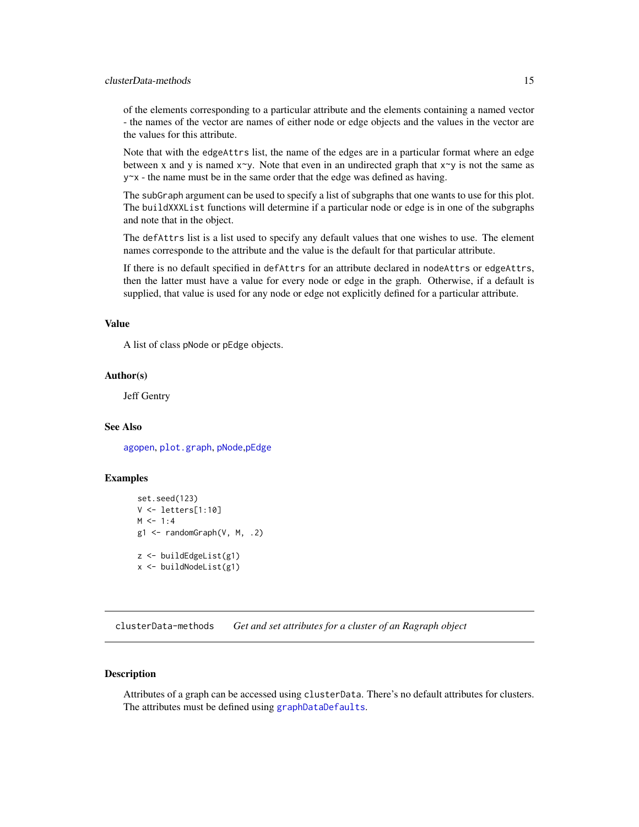# <span id="page-14-0"></span>clusterData-methods 15

of the elements corresponding to a particular attribute and the elements containing a named vector - the names of the vector are names of either node or edge objects and the values in the vector are the values for this attribute.

Note that with the edgeAttrs list, the name of the edges are in a particular format where an edge between x and y is named  $x \sim y$ . Note that even in an undirected graph that  $x \sim y$  is not the same as y~x - the name must be in the same order that the edge was defined as having.

The subGraph argument can be used to specify a list of subgraphs that one wants to use for this plot. The buildXXXList functions will determine if a particular node or edge is in one of the subgraphs and note that in the object.

The defAttrs list is a list used to specify any default values that one wishes to use. The element names corresponde to the attribute and the value is the default for that particular attribute.

If there is no default specified in defAttrs for an attribute declared in nodeAttrs or edgeAttrs, then the latter must have a value for every node or edge in the graph. Otherwise, if a default is supplied, that value is used for any node or edge not explicitly defined for a particular attribute.

# Value

A list of class pNode or pEdge objects.

#### Author(s)

Jeff Gentry

#### See Also

[agopen](#page-5-1), [plot.graph](#page-34-1), [pNode](#page-36-1),[pEdge](#page-32-1)

#### Examples

```
set.seed(123)
V <- letters[1:10]
M < -1:4g1 \leftarrow \text{randomGraph}(V, M, .2)z <- buildEdgeList(g1)
x <- buildNodeList(g1)
```
clusterData-methods *Get and set attributes for a cluster of an Ragraph object*

#### **Description**

Attributes of a graph can be accessed using clusterData. There's no default attributes for clusters. The attributes must be defined using [graphDataDefaults](#page-17-2).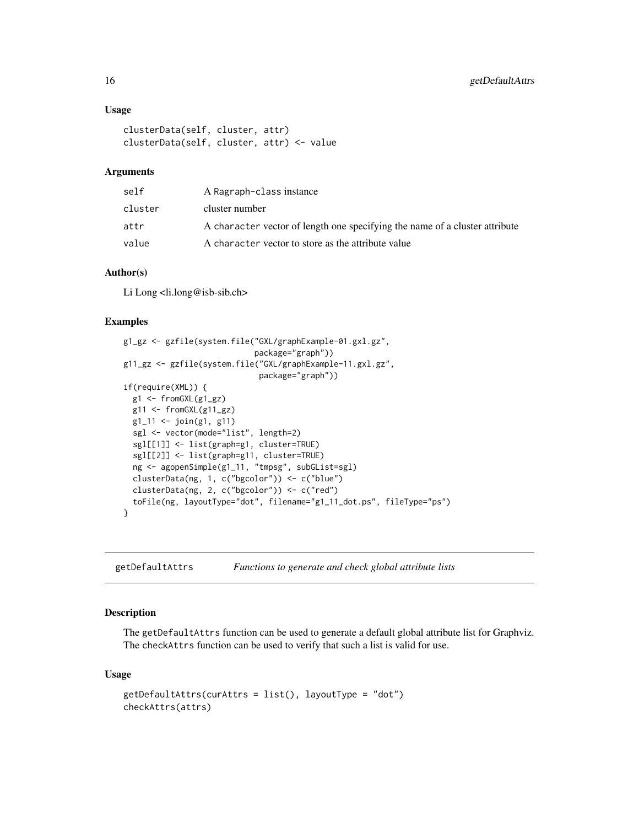#### Usage

```
clusterData(self, cluster, attr)
clusterData(self, cluster, attr) <- value
```
# Arguments

| self    | A Ragraph-class instance                                                    |
|---------|-----------------------------------------------------------------------------|
| cluster | cluster number                                                              |
| attr    | A character vector of length one specifying the name of a cluster attribute |
| value   | A character vector to store as the attribute value                          |

# Author(s)

Li Long <li.long@isb-sib.ch>

#### Examples

```
g1_gz <- gzfile(system.file("GXL/graphExample-01.gxl.gz",
                            package="graph"))
g11_gz <- gzfile(system.file("GXL/graphExample-11.gxl.gz",
                             package="graph"))
if(require(XML)) {
  g1 <- fromGXL(g1_gz)
  g11 <- fromGXL(g11_gz)g1_1 <- join(g1, g11)
  sgl <- vector(mode="list", length=2)
  sgl[[1]] <- list(graph=g1, cluster=TRUE)
  sgl[[2]] <- list(graph=g11, cluster=TRUE)
  ng <- agopenSimple(g1_11, "tmpsg", subGList=sgl)
  clusterData(ng, 1, c("bgcolor")) <- c("blue")
  clusterData(ng, 2, c("bgcolor")) <- c("red")
  toFile(ng, layoutType="dot", filename="g1_11_dot.ps", fileType="ps")
}
```
getDefaultAttrs *Functions to generate and check global attribute lists*

# Description

The getDefaultAttrs function can be used to generate a default global attribute list for Graphviz. The checkAttrs function can be used to verify that such a list is valid for use.

#### Usage

```
getDefaultAttrs(curAttrs = list(), layoutType = "dot")
checkAttrs(attrs)
```
<span id="page-15-0"></span>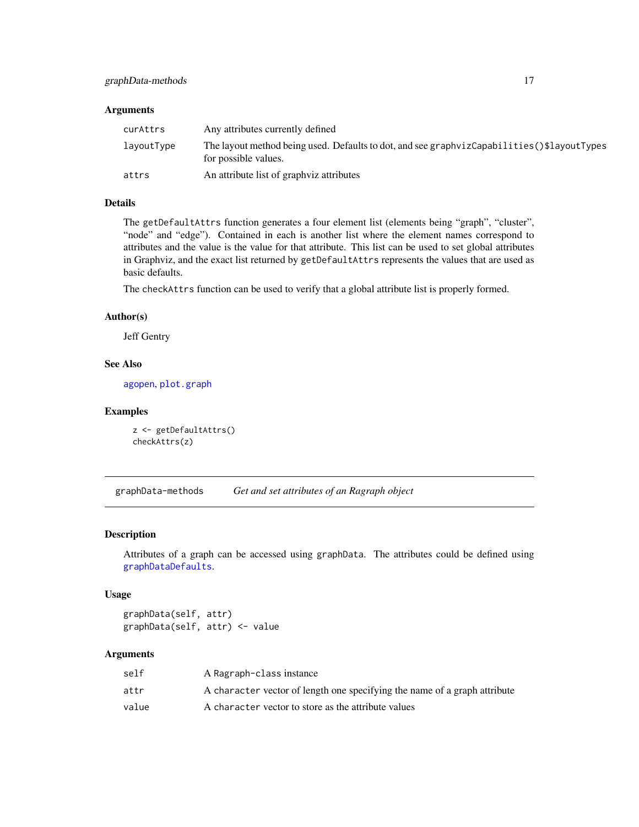# <span id="page-16-0"></span>Arguments

| curAttrs   | Any attributes currently defined                                                                                    |
|------------|---------------------------------------------------------------------------------------------------------------------|
| layoutType | The layout method being used. Defaults to dot, and see graphyizCapabilities ()\$layoutTypes<br>for possible values. |
| attrs      | An attribute list of graphyiz attributes                                                                            |

# Details

The getDefaultAttrs function generates a four element list (elements being "graph", "cluster", "node" and "edge"). Contained in each is another list where the element names correspond to attributes and the value is the value for that attribute. This list can be used to set global attributes in Graphviz, and the exact list returned by getDefaultAttrs represents the values that are used as basic defaults.

The checkAttrs function can be used to verify that a global attribute list is properly formed.

#### Author(s)

Jeff Gentry

#### See Also

[agopen](#page-5-1), [plot.graph](#page-34-1)

#### Examples

```
z <- getDefaultAttrs()
checkAttrs(z)
```
graphData-methods *Get and set attributes of an Ragraph object*

# Description

Attributes of a graph can be accessed using graphData. The attributes could be defined using [graphDataDefaults](#page-17-2).

### Usage

graphData(self, attr) graphData(self, attr) <- value

# Arguments

| self  | A Ragraph-class instance                                                  |
|-------|---------------------------------------------------------------------------|
| attr  | A character vector of length one specifying the name of a graph attribute |
| value | A character vector to store as the attribute values                       |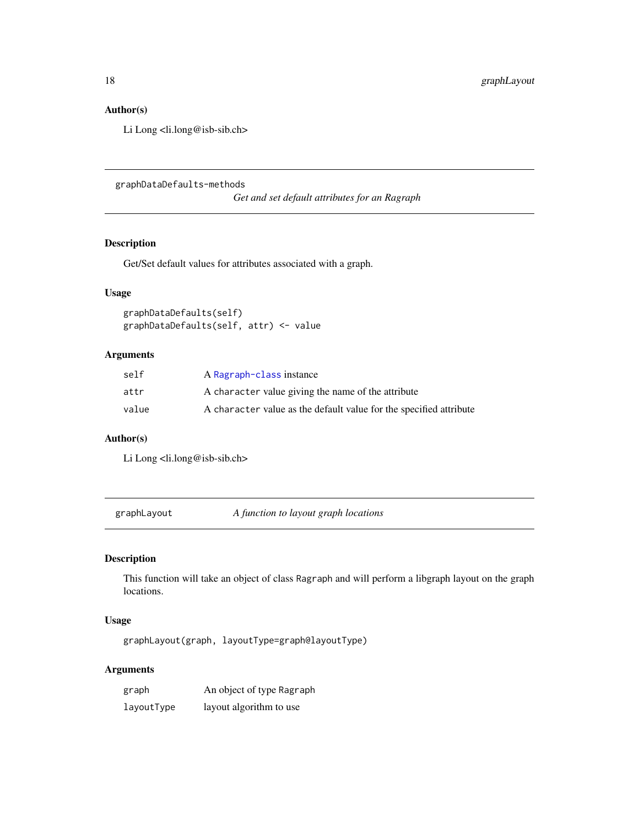# Author(s)

Li Long <li.long@isb-sib.ch>

graphDataDefaults-methods

*Get and set default attributes for an Ragraph*

# <span id="page-17-2"></span>Description

Get/Set default values for attributes associated with a graph.

# Usage

graphDataDefaults(self) graphDataDefaults(self, attr) <- value

# Arguments

| self  | A Ragraph-class instance                                           |
|-------|--------------------------------------------------------------------|
| attr  | A character value giving the name of the attribute                 |
| value | A character value as the default value for the specified attribute |

# Author(s)

Li Long <li.long@isb-sib.ch>

<span id="page-17-1"></span>graphLayout *A function to layout graph locations*

# Description

This function will take an object of class Ragraph and will perform a libgraph layout on the graph locations.

# Usage

graphLayout(graph, layoutType=graph@layoutType)

# Arguments

| graph      | An object of type Ragraph |
|------------|---------------------------|
| layoutType | layout algorithm to use   |

<span id="page-17-0"></span>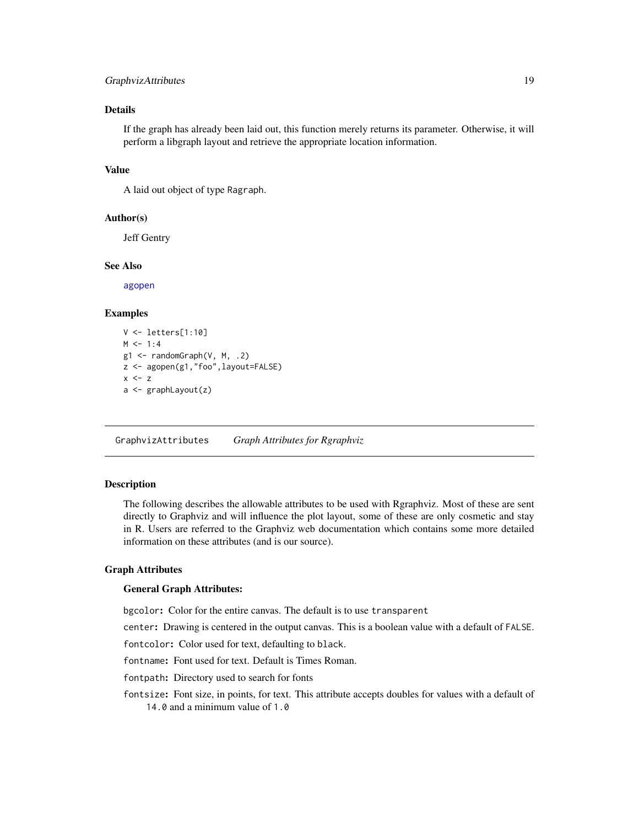# <span id="page-18-0"></span>GraphvizAttributes 19

# Details

If the graph has already been laid out, this function merely returns its parameter. Otherwise, it will perform a libgraph layout and retrieve the appropriate location information.

#### Value

A laid out object of type Ragraph.

# Author(s)

Jeff Gentry

#### See Also

[agopen](#page-5-1)

#### Examples

```
V <- letters[1:10]
M < -1:4g1 <- randomGraph(V, M, .2)
z <- agopen(g1,"foo",layout=FALSE)
x < - za <- graphLayout(z)
```
<span id="page-18-1"></span>GraphvizAttributes *Graph Attributes for Rgraphviz*

#### Description

The following describes the allowable attributes to be used with Rgraphviz. Most of these are sent directly to Graphviz and will influence the plot layout, some of these are only cosmetic and stay in R. Users are referred to the Graphviz web documentation which contains some more detailed information on these attributes (and is our source).

#### Graph Attributes

#### General Graph Attributes:

bgcolor: Color for the entire canvas. The default is to use transparent

center: Drawing is centered in the output canvas. This is a boolean value with a default of FALSE.

fontcolor: Color used for text, defaulting to black.

fontname: Font used for text. Default is Times Roman.

fontpath: Directory used to search for fonts

fontsize: Font size, in points, for text. This attribute accepts doubles for values with a default of 14.0 and a minimum value of 1.0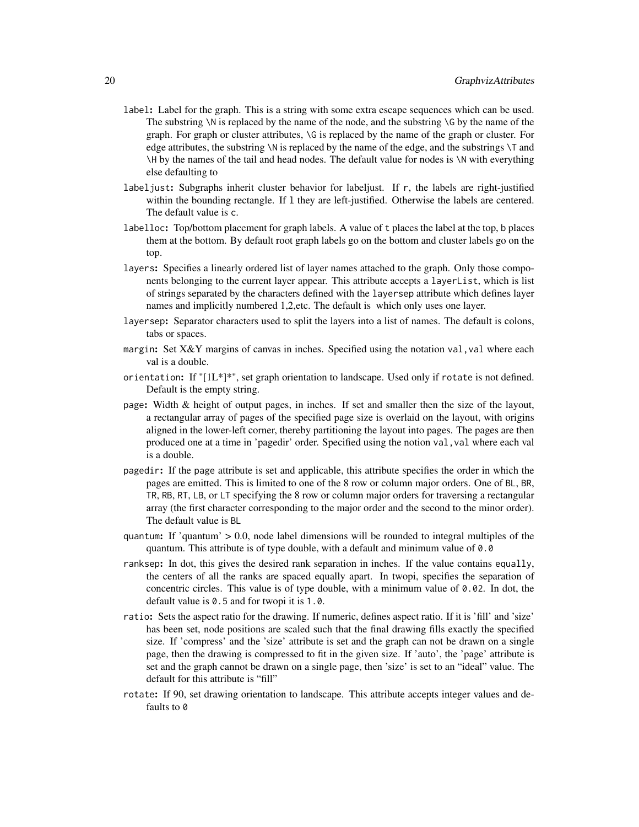- label: Label for the graph. This is a string with some extra escape sequences which can be used. The substring  $\N$  is replaced by the name of the node, and the substring  $\sqrt{G}$  by the name of the graph. For graph or cluster attributes, \G is replaced by the name of the graph or cluster. For edge attributes, the substring \N is replaced by the name of the edge, and the substrings \T and \H by the names of the tail and head nodes. The default value for nodes is \N with everything else defaulting to
- labeljust: Subgraphs inherit cluster behavior for labeljust. If r, the labels are right-justified within the bounding rectangle. If 1 they are left-justified. Otherwise the labels are centered. The default value is c.
- labelloc: Top/bottom placement for graph labels. A value of t places the label at the top, b places them at the bottom. By default root graph labels go on the bottom and cluster labels go on the top.
- layers: Specifies a linearly ordered list of layer names attached to the graph. Only those components belonging to the current layer appear. This attribute accepts a layerList, which is list of strings separated by the characters defined with the layersep attribute which defines layer names and implicitly numbered 1,2,etc. The default is which only uses one layer.
- layersep: Separator characters used to split the layers into a list of names. The default is colons, tabs or spaces.
- margin: Set X&Y margins of canvas in inches. Specified using the notation val, val where each val is a double.
- orientation: If  $T[1L^*]^*$ , set graph orientation to landscape. Used only if rotate is not defined. Default is the empty string.
- page: Width & height of output pages, in inches. If set and smaller then the size of the layout, a rectangular array of pages of the specified page size is overlaid on the layout, with origins aligned in the lower-left corner, thereby partitioning the layout into pages. The pages are then produced one at a time in 'pagedir' order. Specified using the notion val, val where each val is a double.
- pagedir: If the page attribute is set and applicable, this attribute specifies the order in which the pages are emitted. This is limited to one of the 8 row or column major orders. One of BL, BR, TR, RB, RT, LB, or LT specifying the 8 row or column major orders for traversing a rectangular array (the first character corresponding to the major order and the second to the minor order). The default value is BL
- quantum: If 'quantum'  $> 0.0$ , node label dimensions will be rounded to integral multiples of the quantum. This attribute is of type double, with a default and minimum value of  $\theta$ .
- ranksep: In dot, this gives the desired rank separation in inches. If the value contains equally, the centers of all the ranks are spaced equally apart. In twopi, specifies the separation of concentric circles. This value is of type double, with a minimum value of  $0.02$ . In dot, the default value is 0.5 and for twopi it is 1.0.
- ratio: Sets the aspect ratio for the drawing. If numeric, defines aspect ratio. If it is 'fill' and 'size' has been set, node positions are scaled such that the final drawing fills exactly the specified size. If 'compress' and the 'size' attribute is set and the graph can not be drawn on a single page, then the drawing is compressed to fit in the given size. If 'auto', the 'page' attribute is set and the graph cannot be drawn on a single page, then 'size' is set to an "ideal" value. The default for this attribute is "fill"
- rotate: If 90, set drawing orientation to landscape. This attribute accepts integer values and defaults to 0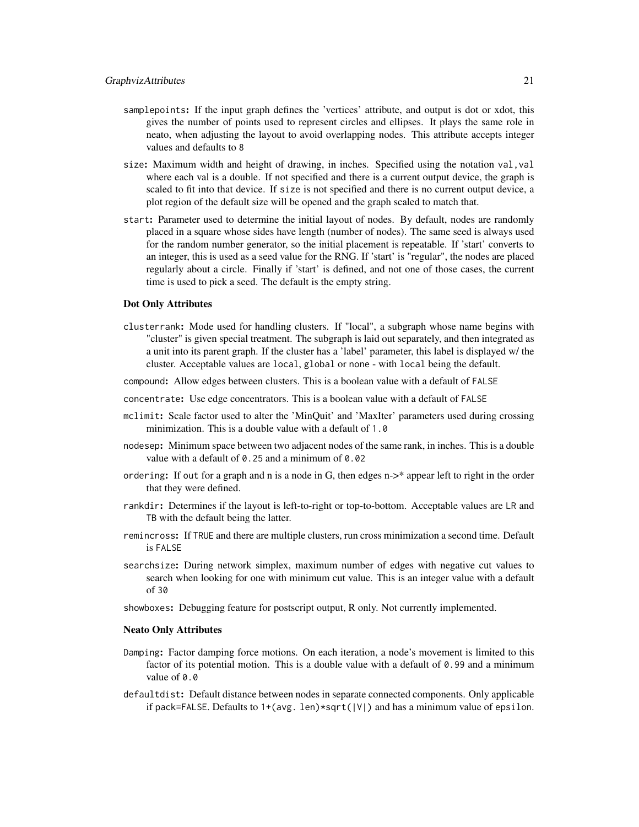- samplepoints: If the input graph defines the 'vertices' attribute, and output is dot or xdot, this gives the number of points used to represent circles and ellipses. It plays the same role in neato, when adjusting the layout to avoid overlapping nodes. This attribute accepts integer values and defaults to 8
- size: Maximum width and height of drawing, in inches. Specified using the notation val,val where each val is a double. If not specified and there is a current output device, the graph is scaled to fit into that device. If size is not specified and there is no current output device, a plot region of the default size will be opened and the graph scaled to match that.
- start: Parameter used to determine the initial layout of nodes. By default, nodes are randomly placed in a square whose sides have length (number of nodes). The same seed is always used for the random number generator, so the initial placement is repeatable. If 'start' converts to an integer, this is used as a seed value for the RNG. If 'start' is "regular", the nodes are placed regularly about a circle. Finally if 'start' is defined, and not one of those cases, the current time is used to pick a seed. The default is the empty string.

#### Dot Only Attributes

- clusterrank: Mode used for handling clusters. If "local", a subgraph whose name begins with "cluster" is given special treatment. The subgraph is laid out separately, and then integrated as a unit into its parent graph. If the cluster has a 'label' parameter, this label is displayed w/ the cluster. Acceptable values are local, global or none - with local being the default.
- compound: Allow edges between clusters. This is a boolean value with a default of FALSE
- concentrate: Use edge concentrators. This is a boolean value with a default of FALSE
- mclimit: Scale factor used to alter the 'MinQuit' and 'MaxIter' parameters used during crossing minimization. This is a double value with a default of 1.0
- nodesep: Minimum space between two adjacent nodes of the same rank, in inches. This is a double value with a default of 0.25 and a minimum of 0.02
- ordering: If out for a graph and n is a node in G, then edges n->\* appear left to right in the order that they were defined.
- rankdir: Determines if the layout is left-to-right or top-to-bottom. Acceptable values are LR and TB with the default being the latter.
- remincross: If TRUE and there are multiple clusters, run cross minimization a second time. Default is FALSE
- searchsize: During network simplex, maximum number of edges with negative cut values to search when looking for one with minimum cut value. This is an integer value with a default of 30
- showboxes: Debugging feature for postscript output, R only. Not currently implemented.

#### Neato Only Attributes

- Damping: Factor damping force motions. On each iteration, a node's movement is limited to this factor of its potential motion. This is a double value with a default of  $\theta$ . 99 and a minimum value of 0.0
- defaultdist: Default distance between nodes in separate connected components. Only applicable if pack=FALSE. Defaults to  $1+(avg. len)*sqrt(|V|)$  and has a minimum value of epsilon.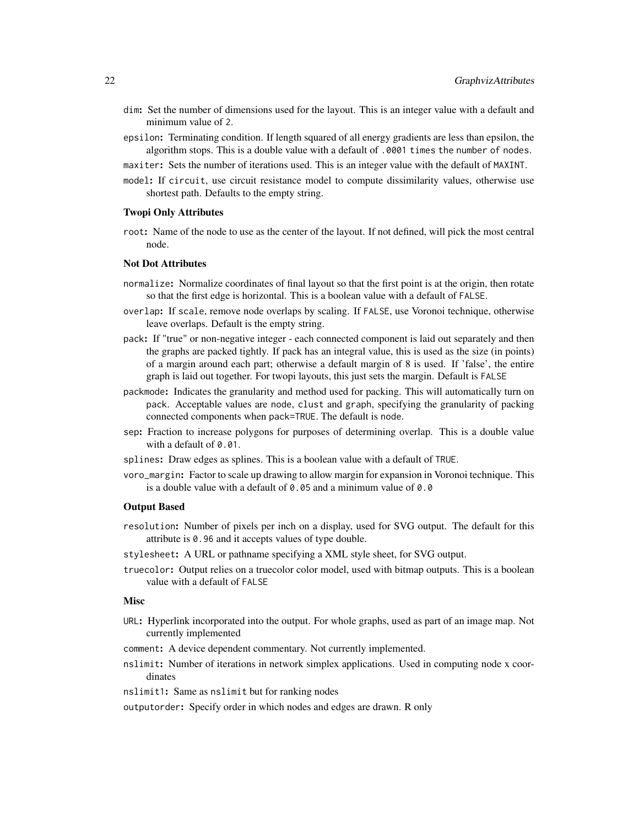- dim: Set the number of dimensions used for the layout. This is an integer value with a default and minimum value of 2.
- epsilon: Terminating condition. If length squared of all energy gradients are less than epsilon, the algorithm stops. This is a double value with a default of .0001 times the number of nodes.
- maxiter: Sets the number of iterations used. This is an integer value with the default of MAXINT.
- model: If circuit, use circuit resistance model to compute dissimilarity values, otherwise use shortest path. Defaults to the empty string.

#### Twopi Only Attributes

root: Name of the node to use as the center of the layout. If not defined, will pick the most central node.

#### Not Dot Attributes

- normalize: Normalize coordinates of final layout so that the first point is at the origin, then rotate so that the first edge is horizontal. This is a boolean value with a default of FALSE.
- overlap: If scale, remove node overlaps by scaling. If FALSE, use Voronoi technique, otherwise leave overlaps. Default is the empty string.
- pack: If "true" or non-negative integer each connected component is laid out separately and then the graphs are packed tightly. If pack has an integral value, this is used as the size (in points) of a margin around each part; otherwise a default margin of 8 is used. If 'false', the entire graph is laid out together. For twopi layouts, this just sets the margin. Default is FALSE
- packmode: Indicates the granularity and method used for packing. This will automatically turn on pack. Acceptable values are node, clust and graph, specifying the granularity of packing connected components when pack=TRUE. The default is node.
- sep: Fraction to increase polygons for purposes of determining overlap. This is a double value with a default of 0.01.
- splines: Draw edges as splines. This is a boolean value with a default of TRUE.
- voro\_margin: Factor to scale up drawing to allow margin for expansion in Voronoi technique. This is a double value with a default of 0.05 and a minimum value of 0.0

#### Output Based

- resolution: Number of pixels per inch on a display, used for SVG output. The default for this attribute is 0.96 and it accepts values of type double.
- stylesheet: A URL or pathname specifying a XML style sheet, for SVG output.
- truecolor: Output relies on a truecolor color model, used with bitmap outputs. This is a boolean value with a default of FALSE

#### **Misc**

- URL: Hyperlink incorporated into the output. For whole graphs, used as part of an image map. Not currently implemented
- comment: A device dependent commentary. Not currently implemented.
- nslimit: Number of iterations in network simplex applications. Used in computing node x coordinates
- nslimit1: Same as nslimit but for ranking nodes

outputorder: Specify order in which nodes and edges are drawn. R only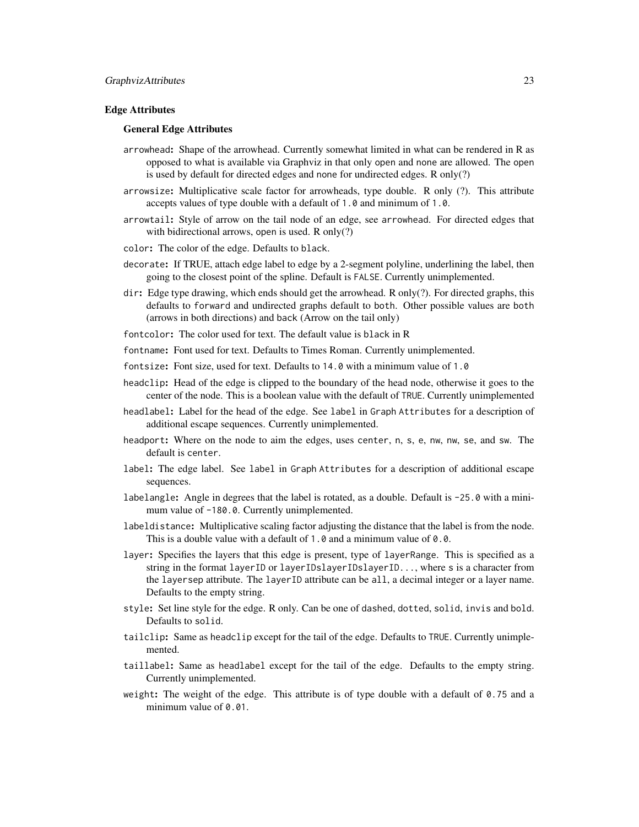#### Edge Attributes

#### General Edge Attributes

- arrowhead: Shape of the arrowhead. Currently somewhat limited in what can be rendered in R as opposed to what is available via Graphviz in that only open and none are allowed. The open is used by default for directed edges and none for undirected edges. R only(?)
- arrowsize: Multiplicative scale factor for arrowheads, type double. R only (?). This attribute accepts values of type double with a default of 1.0 and minimum of 1.0.
- arrowtail: Style of arrow on the tail node of an edge, see arrowhead. For directed edges that with bidirectional arrows, open is used. R only(?)
- color: The color of the edge. Defaults to black.
- decorate: If TRUE, attach edge label to edge by a 2-segment polyline, underlining the label, then going to the closest point of the spline. Default is FALSE. Currently unimplemented.
- dir: Edge type drawing, which ends should get the arrowhead. R only(?). For directed graphs, this defaults to forward and undirected graphs default to both. Other possible values are both (arrows in both directions) and back (Arrow on the tail only)
- fontcolor: The color used for text. The default value is black in R
- fontname: Font used for text. Defaults to Times Roman. Currently unimplemented.
- fontsize: Font size, used for text. Defaults to 14.0 with a minimum value of 1.0
- headclip: Head of the edge is clipped to the boundary of the head node, otherwise it goes to the center of the node. This is a boolean value with the default of TRUE. Currently unimplemented
- headlabel: Label for the head of the edge. See label in Graph Attributes for a description of additional escape sequences. Currently unimplemented.
- headport: Where on the node to aim the edges, uses center, n, s, e, nw, nw, se, and sw. The default is center.
- label: The edge label. See label in Graph Attributes for a description of additional escape sequences.
- labelangle: Angle in degrees that the label is rotated, as a double. Default is -25.0 with a minimum value of -180.0. Currently unimplemented.
- labeldistance: Multiplicative scaling factor adjusting the distance that the label is from the node. This is a double value with a default of 1.0 and a minimum value of 0.0.
- layer: Specifies the layers that this edge is present, type of layerRange. This is specified as a string in the format layerID or layerIDslayerIDslayerID..., where s is a character from the layersep attribute. The layerID attribute can be all, a decimal integer or a layer name. Defaults to the empty string.
- style: Set line style for the edge. R only. Can be one of dashed, dotted, solid, invis and bold. Defaults to solid.
- tailclip: Same as headclip except for the tail of the edge. Defaults to TRUE. Currently unimplemented.
- taillabel: Same as headlabel except for the tail of the edge. Defaults to the empty string. Currently unimplemented.
- weight: The weight of the edge. This attribute is of type double with a default of 0.75 and a minimum value of 0.01.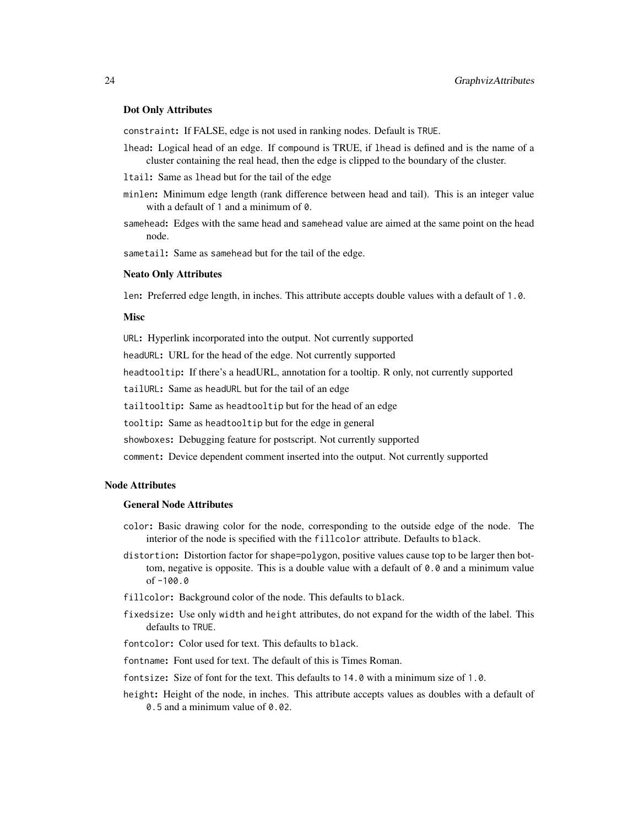#### Dot Only Attributes

constraint: If FALSE, edge is not used in ranking nodes. Default is TRUE.

- lhead: Logical head of an edge. If compound is TRUE, if lhead is defined and is the name of a cluster containing the real head, then the edge is clipped to the boundary of the cluster.
- ltail: Same as lhead but for the tail of the edge
- minlen: Minimum edge length (rank difference between head and tail). This is an integer value with a default of 1 and a minimum of 0.
- samehead: Edges with the same head and samehead value are aimed at the same point on the head node.

sametail: Same as samehead but for the tail of the edge.

#### Neato Only Attributes

len: Preferred edge length, in inches. This attribute accepts double values with a default of 1.0.

#### Misc

URL: Hyperlink incorporated into the output. Not currently supported

headURL: URL for the head of the edge. Not currently supported

headtooltip: If there's a headURL, annotation for a tooltip. R only, not currently supported

tailURL: Same as headURL but for the tail of an edge

tailtooltip: Same as headtooltip but for the head of an edge

tooltip: Same as headtooltip but for the edge in general

showboxes: Debugging feature for postscript. Not currently supported

comment: Device dependent comment inserted into the output. Not currently supported

#### Node Attributes

## General Node Attributes

- color: Basic drawing color for the node, corresponding to the outside edge of the node. The interior of the node is specified with the fillcolor attribute. Defaults to black.
- distortion: Distortion factor for shape=polygon, positive values cause top to be larger then bottom, negative is opposite. This is a double value with a default of  $0.0$  and a minimum value of -100.0
- fillcolor: Background color of the node. This defaults to black.
- fixedsize: Use only width and height attributes, do not expand for the width of the label. This defaults to TRUE.
- fontcolor: Color used for text. This defaults to black.
- fontname: Font used for text. The default of this is Times Roman.
- fontsize: Size of font for the text. This defaults to 14.0 with a minimum size of 1.0.
- height: Height of the node, in inches. This attribute accepts values as doubles with a default of 0.5 and a minimum value of 0.02.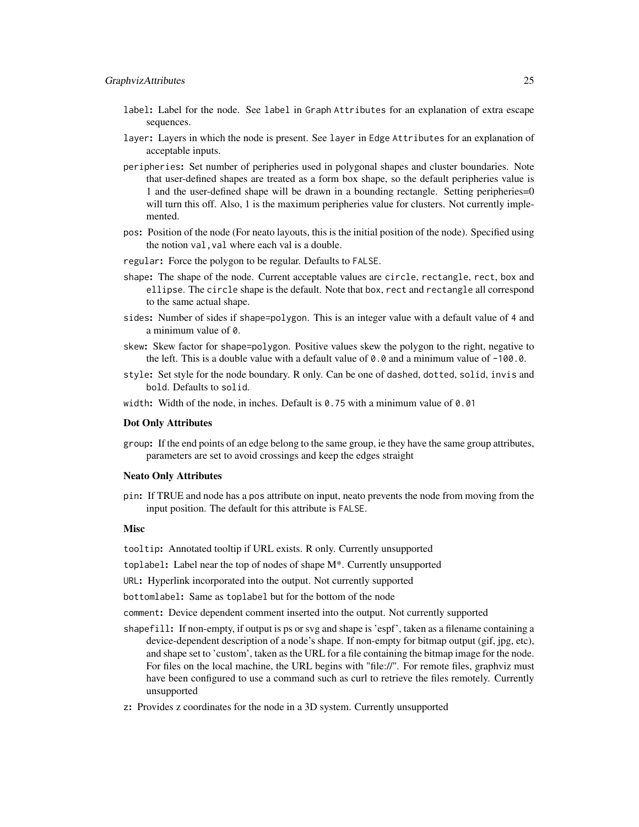- label: Label for the node. See label in Graph Attributes for an explanation of extra escape sequences.
- layer: Layers in which the node is present. See layer in Edge Attributes for an explanation of acceptable inputs.
- peripheries: Set number of peripheries used in polygonal shapes and cluster boundaries. Note that user-defined shapes are treated as a form box shape, so the default peripheries value is 1 and the user-defined shape will be drawn in a bounding rectangle. Setting peripheries=0 will turn this off. Also, 1 is the maximum peripheries value for clusters. Not currently implemented.
- pos: Position of the node (For neato layouts, this is the initial position of the node). Specified using the notion val,val where each val is a double.
- regular: Force the polygon to be regular. Defaults to FALSE.
- shape: The shape of the node. Current acceptable values are circle, rectangle, rect, box and ellipse. The circle shape is the default. Note that box, rect and rectangle all correspond to the same actual shape.
- sides: Number of sides if shape=polygon. This is an integer value with a default value of 4 and a minimum value of 0.
- skew: Skew factor for shape=polygon. Positive values skew the polygon to the right, negative to the left. This is a double value with a default value of  $\theta$ .  $\theta$  and a minimum value of -100.0.
- style: Set style for the node boundary. R only. Can be one of dashed, dotted, solid, invis and bold. Defaults to solid.
- width: Width of the node, in inches. Default is  $\theta$ , 75 with a minimum value of  $\theta$ , 01

#### Dot Only Attributes

group: If the end points of an edge belong to the same group, ie they have the same group attributes, parameters are set to avoid crossings and keep the edges straight

#### Neato Only Attributes

pin: If TRUE and node has a pos attribute on input, neato prevents the node from moving from the input position. The default for this attribute is FALSE.

#### **Misc**

tooltip: Annotated tooltip if URL exists. R only. Currently unsupported

- toplabel: Label near the top of nodes of shape M\*. Currently unsupported
- URL: Hyperlink incorporated into the output. Not currently supported
- bottomlabel: Same as toplabel but for the bottom of the node
- comment: Device dependent comment inserted into the output. Not currently supported
- shapefill: If non-empty, if output is ps or svg and shape is 'espf', taken as a filename containing a device-dependent description of a node's shape. If non-empty for bitmap output (gif, jpg, etc), and shape set to 'custom', taken as the URL for a file containing the bitmap image for the node. For files on the local machine, the URL begins with "file://". For remote files, graphviz must have been configured to use a command such as curl to retrieve the files remotely. Currently unsupported
- z: Provides z coordinates for the node in a 3D system. Currently unsupported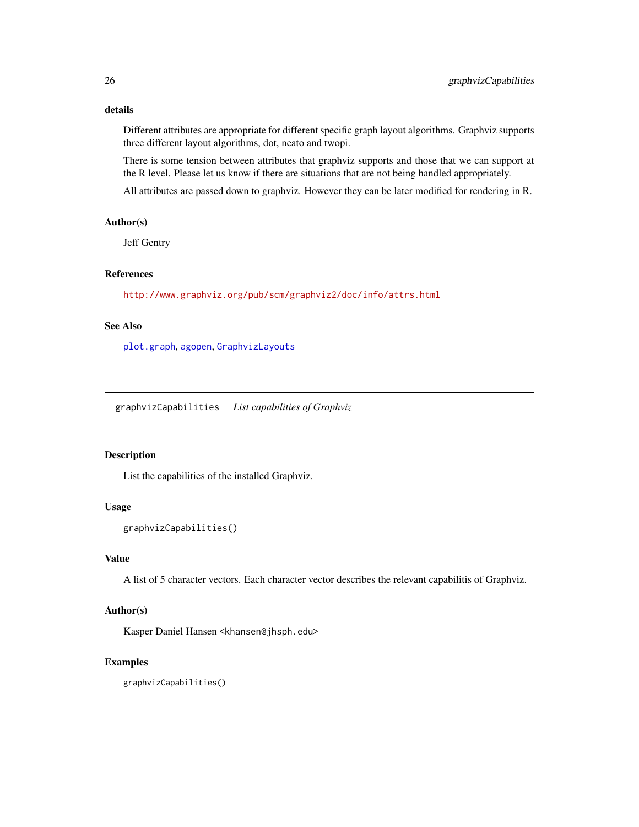# <span id="page-25-0"></span>details

Different attributes are appropriate for different specific graph layout algorithms. Graphviz supports three different layout algorithms, dot, neato and twopi.

There is some tension between attributes that graphviz supports and those that we can support at the R level. Please let us know if there are situations that are not being handled appropriately.

All attributes are passed down to graphviz. However they can be later modified for rendering in R.

#### Author(s)

Jeff Gentry

# References

<http://www.graphviz.org/pub/scm/graphviz2/doc/info/attrs.html>

# See Also

[plot.graph](#page-34-1), [agopen](#page-5-1), [GraphvizLayouts](#page-26-1)

graphvizCapabilities *List capabilities of Graphviz*

# Description

List the capabilities of the installed Graphviz.

#### Usage

```
graphvizCapabilities()
```
# Value

A list of 5 character vectors. Each character vector describes the relevant capabilitis of Graphviz.

# Author(s)

Kasper Daniel Hansen <khansen@jhsph.edu>

# Examples

graphvizCapabilities()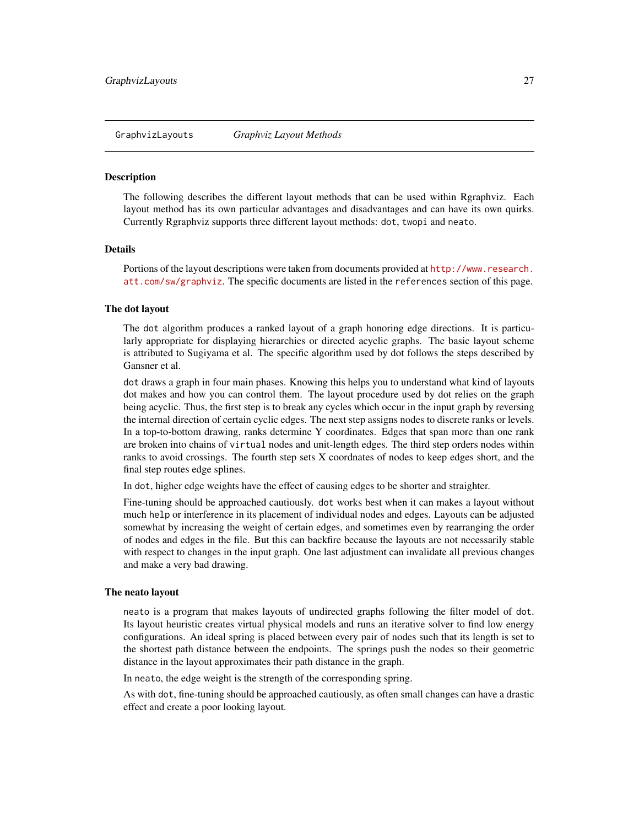<span id="page-26-1"></span><span id="page-26-0"></span>

#### <span id="page-26-2"></span>Description

The following describes the different layout methods that can be used within Rgraphviz. Each layout method has its own particular advantages and disadvantages and can have its own quirks. Currently Rgraphviz supports three different layout methods: dot, twopi and neato.

# Details

Portions of the layout descriptions were taken from documents provided at [http://www.research.](http://www.research.att.com/sw/graphviz) [att.com/sw/graphviz](http://www.research.att.com/sw/graphviz). The specific documents are listed in the references section of this page.

# The dot layout

The dot algorithm produces a ranked layout of a graph honoring edge directions. It is particularly appropriate for displaying hierarchies or directed acyclic graphs. The basic layout scheme is attributed to Sugiyama et al. The specific algorithm used by dot follows the steps described by Gansner et al.

dot draws a graph in four main phases. Knowing this helps you to understand what kind of layouts dot makes and how you can control them. The layout procedure used by dot relies on the graph being acyclic. Thus, the first step is to break any cycles which occur in the input graph by reversing the internal direction of certain cyclic edges. The next step assigns nodes to discrete ranks or levels. In a top-to-bottom drawing, ranks determine Y coordinates. Edges that span more than one rank are broken into chains of virtual nodes and unit-length edges. The third step orders nodes within ranks to avoid crossings. The fourth step sets X coordnates of nodes to keep edges short, and the final step routes edge splines.

In dot, higher edge weights have the effect of causing edges to be shorter and straighter.

Fine-tuning should be approached cautiously. dot works best when it can makes a layout without much help or interference in its placement of individual nodes and edges. Layouts can be adjusted somewhat by increasing the weight of certain edges, and sometimes even by rearranging the order of nodes and edges in the file. But this can backfire because the layouts are not necessarily stable with respect to changes in the input graph. One last adjustment can invalidate all previous changes and make a very bad drawing.

#### The neato layout

neato is a program that makes layouts of undirected graphs following the filter model of dot. Its layout heuristic creates virtual physical models and runs an iterative solver to find low energy configurations. An ideal spring is placed between every pair of nodes such that its length is set to the shortest path distance between the endpoints. The springs push the nodes so their geometric distance in the layout approximates their path distance in the graph.

In neato, the edge weight is the strength of the corresponding spring.

As with dot, fine-tuning should be approached cautiously, as often small changes can have a drastic effect and create a poor looking layout.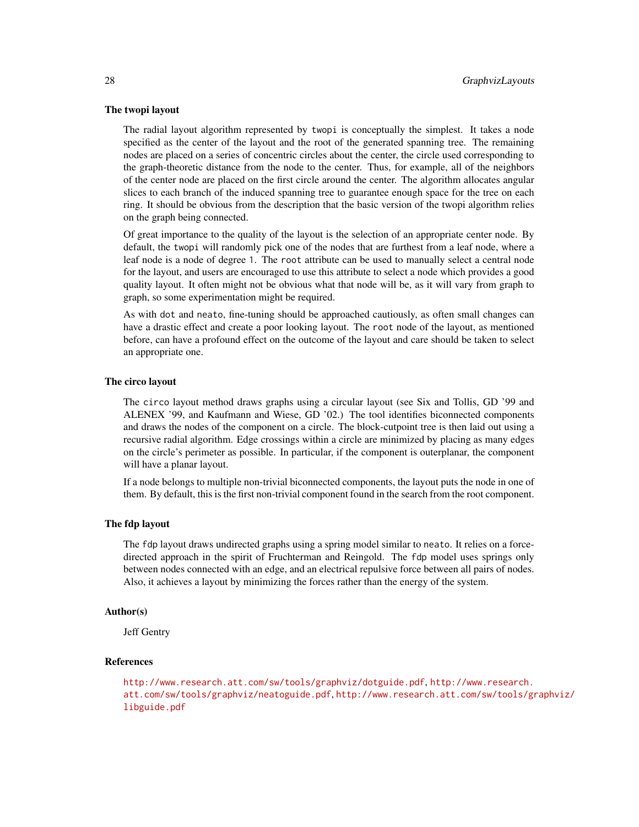#### The twopi layout

The radial layout algorithm represented by twopi is conceptually the simplest. It takes a node specified as the center of the layout and the root of the generated spanning tree. The remaining nodes are placed on a series of concentric circles about the center, the circle used corresponding to the graph-theoretic distance from the node to the center. Thus, for example, all of the neighbors of the center node are placed on the first circle around the center. The algorithm allocates angular slices to each branch of the induced spanning tree to guarantee enough space for the tree on each ring. It should be obvious from the description that the basic version of the twopi algorithm relies on the graph being connected.

Of great importance to the quality of the layout is the selection of an appropriate center node. By default, the twopi will randomly pick one of the nodes that are furthest from a leaf node, where a leaf node is a node of degree 1. The root attribute can be used to manually select a central node for the layout, and users are encouraged to use this attribute to select a node which provides a good quality layout. It often might not be obvious what that node will be, as it will vary from graph to graph, so some experimentation might be required.

As with dot and neato, fine-tuning should be approached cautiously, as often small changes can have a drastic effect and create a poor looking layout. The root node of the layout, as mentioned before, can have a profound effect on the outcome of the layout and care should be taken to select an appropriate one.

#### The circo layout

The circo layout method draws graphs using a circular layout (see Six and Tollis, GD '99 and ALENEX '99, and Kaufmann and Wiese, GD '02.) The tool identifies biconnected components and draws the nodes of the component on a circle. The block-cutpoint tree is then laid out using a recursive radial algorithm. Edge crossings within a circle are minimized by placing as many edges on the circle's perimeter as possible. In particular, if the component is outerplanar, the component will have a planar layout.

If a node belongs to multiple non-trivial biconnected components, the layout puts the node in one of them. By default, this is the first non-trivial component found in the search from the root component.

#### The fdp layout

The fdp layout draws undirected graphs using a spring model similar to neato. It relies on a forcedirected approach in the spirit of Fruchterman and Reingold. The fdp model uses springs only between nodes connected with an edge, and an electrical repulsive force between all pairs of nodes. Also, it achieves a layout by minimizing the forces rather than the energy of the system.

#### Author(s)

Jeff Gentry

#### References

```
http://www.research.att.com/sw/tools/graphviz/dotguide.pdf, http://www.research.
att.com/sw/tools/graphviz/neatoguide.pdf, http://www.research.att.com/sw/tools/graphviz/
libguide.pdf
```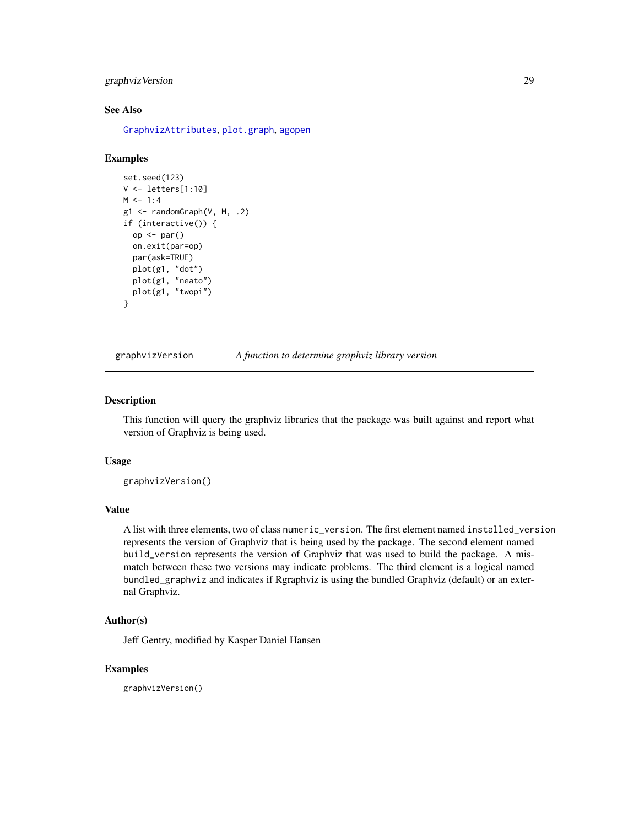# <span id="page-28-0"></span>graphvizVersion 29

# See Also

[GraphvizAttributes](#page-18-1), [plot.graph](#page-34-1), [agopen](#page-5-1)

#### Examples

```
set.seed(123)
V <- letters[1:10]
M < -1:4g1 \leftarrow \text{randomGraph}(V, M, .2)if (interactive()) {
  op <- par()
  on.exit(par=op)
  par(ask=TRUE)
  plot(g1, "dot")
  plot(g1, "neato")
  plot(g1, "twopi")
}
```
graphvizVersion *A function to determine graphviz library version*

#### Description

This function will query the graphviz libraries that the package was built against and report what version of Graphviz is being used.

#### Usage

graphvizVersion()

#### Value

A list with three elements, two of class numeric\_version. The first element named installed\_version represents the version of Graphviz that is being used by the package. The second element named build\_version represents the version of Graphviz that was used to build the package. A mismatch between these two versions may indicate problems. The third element is a logical named bundled\_graphviz and indicates if Rgraphviz is using the bundled Graphviz (default) or an external Graphviz.

# Author(s)

Jeff Gentry, modified by Kasper Daniel Hansen

#### Examples

graphvizVersion()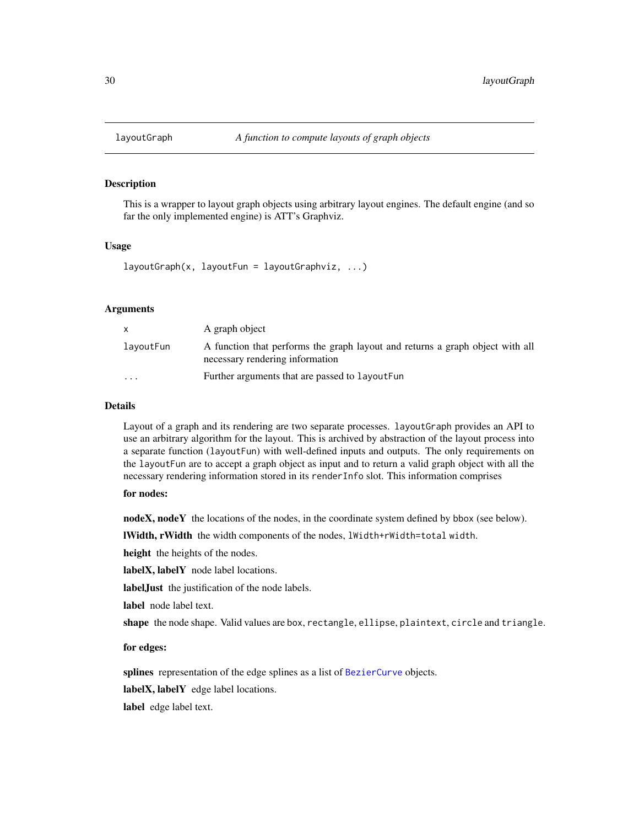<span id="page-29-1"></span><span id="page-29-0"></span>

# Description

This is a wrapper to layout graph objects using arbitrary layout engines. The default engine (and so far the only implemented engine) is ATT's Graphviz.

# Usage

 $layoutGraph(x, layoutFun = layoutGraphviz, ...)$ 

# Arguments

| X         | A graph object                                                                                                   |
|-----------|------------------------------------------------------------------------------------------------------------------|
| lavoutFun | A function that performs the graph layout and returns a graph object with all<br>necessary rendering information |
| $\cdots$  | Further arguments that are passed to layout Fun                                                                  |

# **Details**

Layout of a graph and its rendering are two separate processes. layoutGraph provides an API to use an arbitrary algorithm for the layout. This is archived by abstraction of the layout process into a separate function (layoutFun) with well-defined inputs and outputs. The only requirements on the layoutFun are to accept a graph object as input and to return a valid graph object with all the necessary rendering information stored in its renderInfo slot. This information comprises

# for nodes:

nodeX, nodeY the locations of the nodes, in the coordinate system defined by bbox (see below).

lWidth, rWidth the width components of the nodes, lWidth+rWidth=total width.

height the heights of the nodes.

labelX, labelY node label locations.

labelJust the justification of the node labels.

label node label text.

shape the node shape. Valid values are box, rectangle, ellipse, plaintext, circle and triangle.

#### for edges:

splines representation of the edge splines as a list of [BezierCurve](#page-11-1) objects.

labelX, labelY edge label locations.

label edge label text.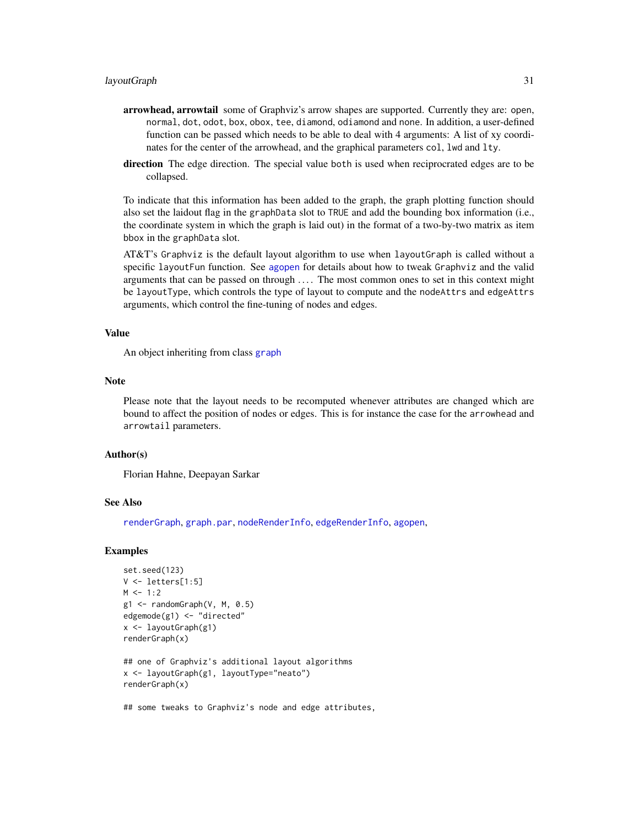- <span id="page-30-0"></span>arrowhead, arrowtail some of Graphviz's arrow shapes are supported. Currently they are: open, normal, dot, odot, box, obox, tee, diamond, odiamond and none. In addition, a user-defined function can be passed which needs to be able to deal with 4 arguments: A list of xy coordinates for the center of the arrowhead, and the graphical parameters col, lwd and lty.
- direction The edge direction. The special value both is used when reciprocrated edges are to be collapsed.

To indicate that this information has been added to the graph, the graph plotting function should also set the laidout flag in the graphData slot to TRUE and add the bounding box information (i.e., the coordinate system in which the graph is laid out) in the format of a two-by-two matrix as item bbox in the graphData slot.

AT&T's Graphviz is the default layout algorithm to use when layoutGraph is called without a specific layoutFun function. See [agopen](#page-5-1) for details about how to tweak Graphviz and the valid arguments that can be passed on through .... The most common ones to set in this context might be layoutType, which controls the type of layout to compute and the nodeAttrs and edgeAttrs arguments, which control the fine-tuning of nodes and edges.

#### Value

An object inheriting from class [graph](#page-0-0)

#### Note

Please note that the layout needs to be recomputed whenever attributes are changed which are bound to affect the position of nodes or edges. This is for instance the case for the arrowhead and arrowtail parameters.

#### Author(s)

Florian Hahne, Deepayan Sarkar

#### See Also

[renderGraph](#page-41-1), [graph.par](#page-0-0), [nodeRenderInfo](#page-0-0), [edgeRenderInfo](#page-0-0), [agopen](#page-5-1),

#### Examples

```
set.seed(123)
V <- letters[1:5]
M < -1:2g1 \leq - \text{randomGraph}(V, M, 0.5)edgemode(g1) <- "directed"
x <- layoutGraph(g1)
renderGraph(x)
## one of Graphviz's additional layout algorithms
x <- layoutGraph(g1, layoutType="neato")
renderGraph(x)
```
## some tweaks to Graphviz's node and edge attributes,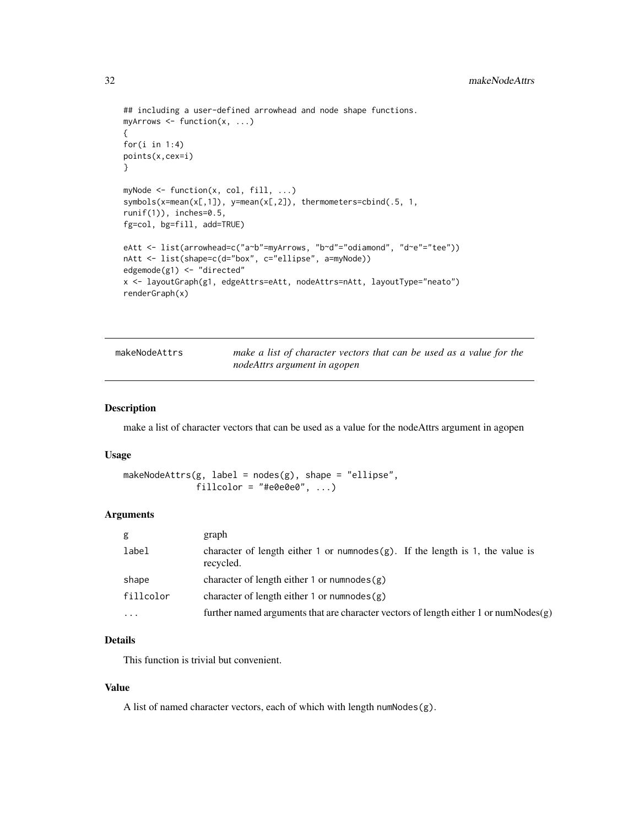```
## including a user-defined arrowhead and node shape functions.
myArrows \leq function(x, ...)
{
for(i in 1:4)points(x,cex=i)
}
myNode <- function(x, col, fill, ...)
symbols(x=mean(x[,1]), y=mean(x[,2]), thermometers=cbind(.5, 1,
runif(1)), inches=0.5,
fg=col, bg=fill, add=TRUE)
eAtt <- list(arrowhead=c("a~b"=myArrows, "b~d"="odiamond", "d~e"="tee"))
nAtt <- list(shape=c(d="box", c="ellipse", a=myNode))
edgemode(g1) <- "directed"
x <- layoutGraph(g1, edgeAttrs=eAtt, nodeAttrs=nAtt, layoutType="neato")
renderGraph(x)
```

| makeNodeAttrs | make a list of character vectors that can be used as a value for the |  |
|---------------|----------------------------------------------------------------------|--|
|               | nodeAttrs argument in agopen                                         |  |

## Description

make a list of character vectors that can be used as a value for the nodeAttrs argument in agopen

#### Usage

```
makeNodeAttrs(g, label = nodes(g), shape = "ellipse",fillcolor = "#e0e0e0", ...)
```
#### Arguments

| g         | graph                                                                                          |
|-----------|------------------------------------------------------------------------------------------------|
| label     | character of length either 1 or numnodes $(g)$ . If the length is 1, the value is<br>recycled. |
| shape     | character of length either 1 or numnodes $(g)$                                                 |
| fillcolor | character of length either 1 or numnodes $(g)$                                                 |
| .         | further named arguments that are character vectors of length either 1 or numNodes(g)           |
|           |                                                                                                |

# Details

This function is trivial but convenient.

# Value

A list of named character vectors, each of which with length numNodes(g).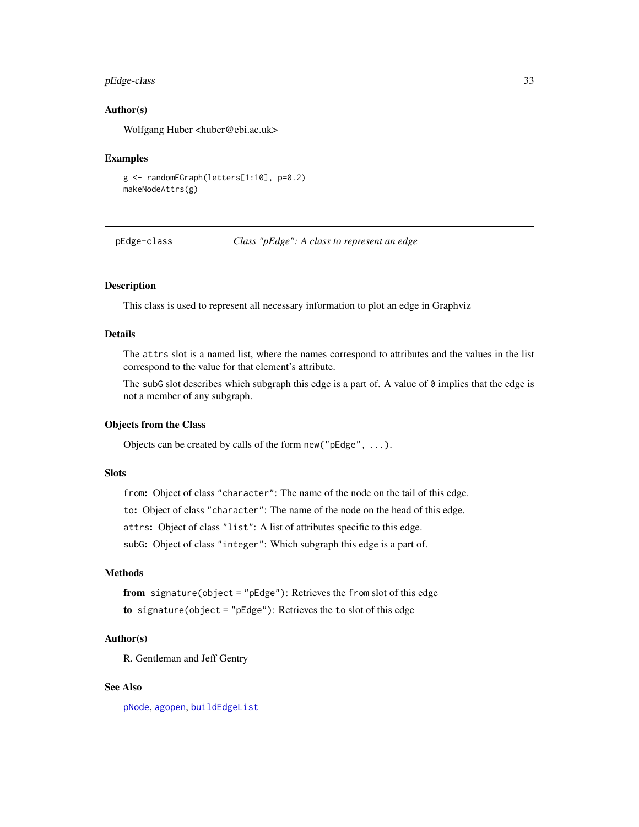# <span id="page-32-0"></span>pEdge-class 33

#### Author(s)

Wolfgang Huber <huber@ebi.ac.uk>

#### Examples

```
g <- randomEGraph(letters[1:10], p=0.2)
makeNodeAttrs(g)
```
pEdge-class *Class "pEdge": A class to represent an edge*

# <span id="page-32-1"></span>Description

This class is used to represent all necessary information to plot an edge in Graphviz

# Details

The attrs slot is a named list, where the names correspond to attributes and the values in the list correspond to the value for that element's attribute.

The subG slot describes which subgraph this edge is a part of. A value of 0 implies that the edge is not a member of any subgraph.

# Objects from the Class

Objects can be created by calls of the form new("pEdge", ...).

# **Slots**

from: Object of class "character": The name of the node on the tail of this edge.

to: Object of class "character": The name of the node on the head of this edge.

attrs: Object of class "list": A list of attributes specific to this edge.

subG: Object of class "integer": Which subgraph this edge is a part of.

#### Methods

from signature(object = "pEdge"): Retrieves the from slot of this edge to signature(object = "pEdge"): Retrieves the to slot of this edge

#### Author(s)

R. Gentleman and Jeff Gentry

# See Also

[pNode](#page-36-1), [agopen](#page-5-1), [buildEdgeList](#page-13-2)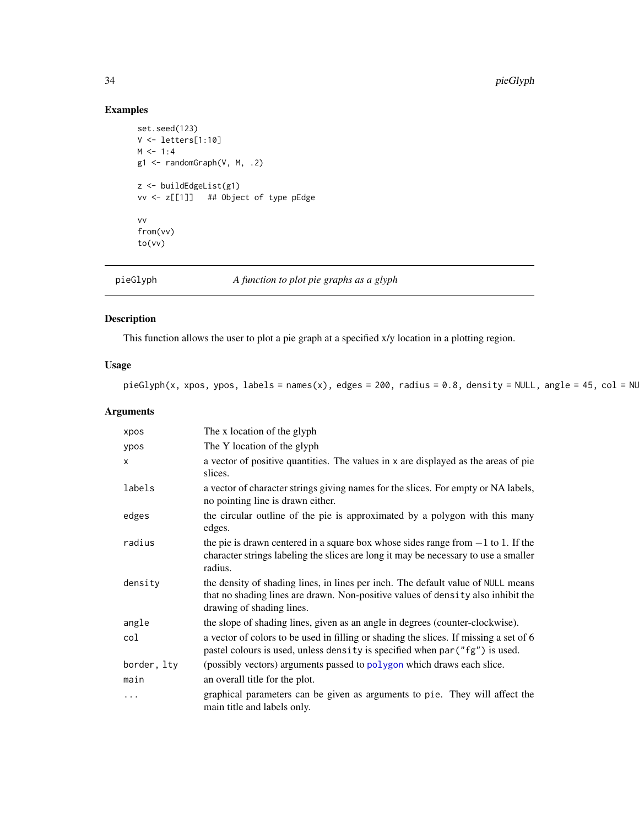# Examples

```
set.seed(123)
V <- letters[1:10]
M < -1:4g1 <- randomGraph(V, M, .2)
z <- buildEdgeList(g1)
vv <- z[[1]] ## Object of type pEdge
vv
from(vv)
to(vv)
```
pieGlyph *A function to plot pie graphs as a glyph*

# Description

This function allows the user to plot a pie graph at a specified x/y location in a plotting region.

# Usage

pieGlyph(x, xpos, ypos, labels = names(x), edges = 200, radius = 0.8, density = NULL, angle = 45,  $col = NL$ 

# Arguments

| xpos         | The x location of the glyph                                                                                                                                                                       |
|--------------|---------------------------------------------------------------------------------------------------------------------------------------------------------------------------------------------------|
| ypos         | The Y location of the glyph                                                                                                                                                                       |
| $\mathsf{x}$ | a vector of positive quantities. The values in x are displayed as the areas of pie<br>slices.                                                                                                     |
| labels       | a vector of character strings giving names for the slices. For empty or NA labels,<br>no pointing line is drawn either.                                                                           |
| edges        | the circular outline of the pie is approximated by a polygon with this many<br>edges.                                                                                                             |
| radius       | the pie is drawn centered in a square box whose sides range from $-1$ to 1. If the<br>character strings labeling the slices are long it may be necessary to use a smaller<br>radius.              |
| density      | the density of shading lines, in lines per inch. The default value of NULL means<br>that no shading lines are drawn. Non-positive values of density also inhibit the<br>drawing of shading lines. |
| angle        | the slope of shading lines, given as an angle in degrees (counter-clockwise).                                                                                                                     |
| col          | a vector of colors to be used in filling or shading the slices. If missing a set of 6<br>pastel colours is used, unless density is specified when par ("fg") is used.                             |
| border, lty  | (possibly vectors) arguments passed to polygon which draws each slice.                                                                                                                            |
| main         | an overall title for the plot.                                                                                                                                                                    |
| $\cdots$     | graphical parameters can be given as arguments to pie. They will affect the<br>main title and labels only.                                                                                        |

<span id="page-33-0"></span>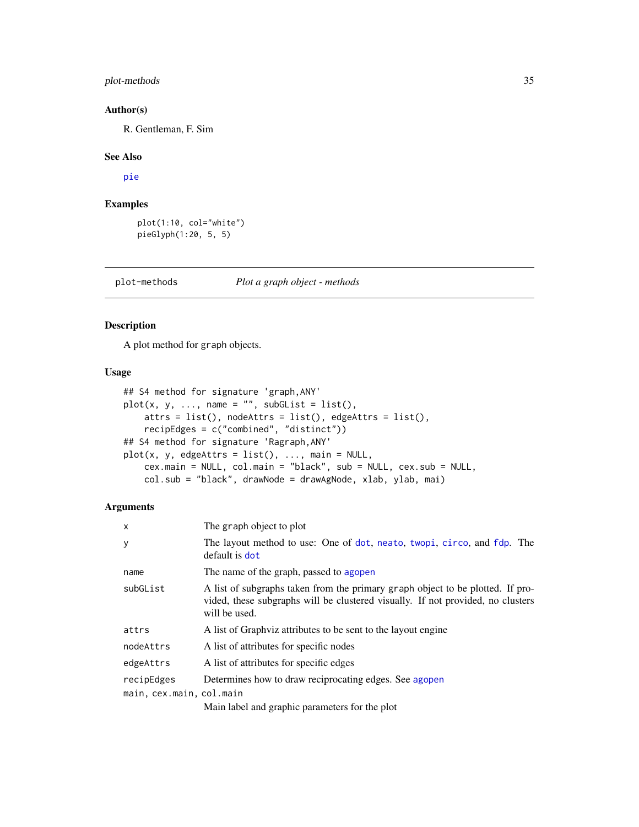# <span id="page-34-0"></span>plot-methods 35

#### Author(s)

R. Gentleman, F. Sim

#### See Also

[pie](#page-0-0)

# Examples

```
plot(1:10, col="white")
pieGlyph(1:20, 5, 5)
```
plot-methods *Plot a graph object - methods*

#### <span id="page-34-1"></span>Description

A plot method for graph objects.

# Usage

```
## S4 method for signature 'graph,ANY'
plot(x, y, ..., name = "", subGList = list(),attrs = list(), nodeAttrs = list(), edgeAttrs = list(),
   recipEdges = c("combined", "distinct"))
## S4 method for signature 'Ragraph,ANY'
plot(x, y, edgesAttrs = list(), ..., main = NULL,cex.main = NULL, col.main = "black", sub = NULL, cex.sub = NULL,
    col.sub = "black", drawNode = drawAgNode, xlab, ylab, mai)
```
#### Arguments

| $\boldsymbol{\mathsf{x}}$ | The graph object to plot                                                                                                                                                           |
|---------------------------|------------------------------------------------------------------------------------------------------------------------------------------------------------------------------------|
| У                         | The layout method to use: One of dot, neato, twopi, circo, and fdp. The<br>default is dot                                                                                          |
| name                      | The name of the graph, passed to agopen                                                                                                                                            |
| subGList                  | A list of subgraphs taken from the primary graph object to be plotted. If pro-<br>vided, these subgraphs will be clustered visually. If not provided, no clusters<br>will be used. |
| attrs                     | A list of Graphyiz attributes to be sent to the layout engine                                                                                                                      |
| nodeAttrs                 | A list of attributes for specific nodes                                                                                                                                            |
| edgeAttrs                 | A list of attributes for specific edges                                                                                                                                            |
| recipEdges                | Determines how to draw reciprocating edges. See agopen                                                                                                                             |
| main, cex.main, col.main  |                                                                                                                                                                                    |
|                           | Main label and graphic parameters for the plot                                                                                                                                     |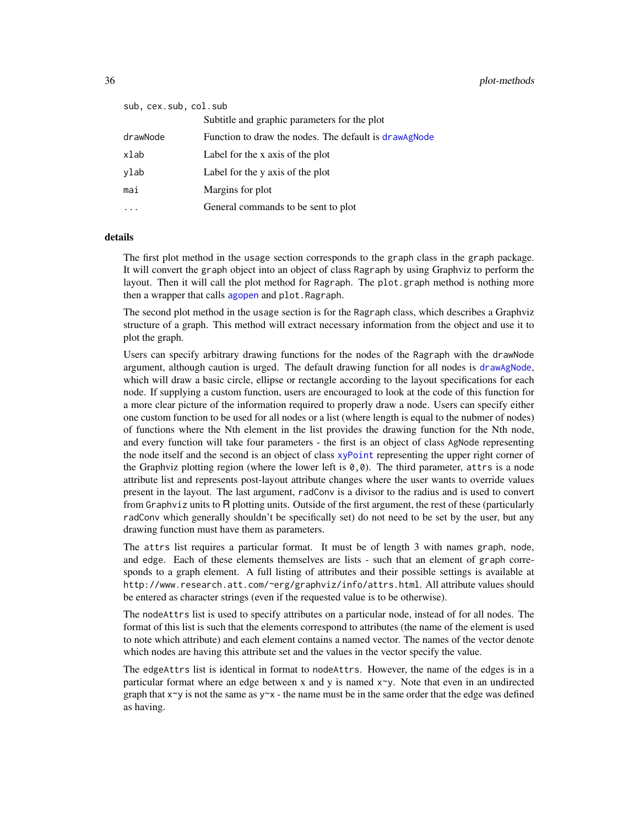<span id="page-35-0"></span>

| sub, cex.sub, col.sub |                                                       |
|-----------------------|-------------------------------------------------------|
|                       | Subtitle and graphic parameters for the plot          |
| drawNode              | Function to draw the nodes. The default is drawagnode |
| xlab                  | Label for the x axis of the plot                      |
| ylab                  | Label for the y axis of the plot                      |
| mai                   | Margins for plot                                      |
|                       | General commands to be sent to plot                   |

#### details

The first plot method in the usage section corresponds to the graph class in the graph package. It will convert the graph object into an object of class Ragraph by using Graphviz to perform the layout. Then it will call the plot method for Ragraph. The plot.graph method is nothing more then a wrapper that calls [agopen](#page-5-1) and plot. Ragraph.

The second plot method in the usage section is for the Ragraph class, which describes a Graphviz structure of a graph. This method will extract necessary information from the object and use it to plot the graph.

Users can specify arbitrary drawing functions for the nodes of the Ragraph with the drawNode argument, although caution is urged. The default drawing function for all nodes is [drawAgNode](#page-3-2), which will draw a basic circle, ellipse or rectangle according to the layout specifications for each node. If supplying a custom function, users are encouraged to look at the code of this function for a more clear picture of the information required to properly draw a node. Users can specify either one custom function to be used for all nodes or a list (where length is equal to the nubmer of nodes) of functions where the Nth element in the list provides the drawing function for the Nth node, and every function will take four parameters - the first is an object of class AgNode representing the node itself and the second is an object of class [xyPoint](#page-45-1) representing the upper right corner of the Graphviz plotting region (where the lower left is  $(0, 0)$ ). The third parameter, attrs is a node attribute list and represents post-layout attribute changes where the user wants to override values present in the layout. The last argument, radConv is a divisor to the radius and is used to convert from Graphviz units to R plotting units. Outside of the first argument, the rest of these (particularly radConv which generally shouldn't be specifically set) do not need to be set by the user, but any drawing function must have them as parameters.

The attrs list requires a particular format. It must be of length 3 with names graph, node, and edge. Each of these elements themselves are lists - such that an element of graph corresponds to a graph element. A full listing of attributes and their possible settings is available at http://www.research.att.com/~erg/graphviz/info/attrs.html. All attribute values should be entered as character strings (even if the requested value is to be otherwise).

The nodeAttrs list is used to specify attributes on a particular node, instead of for all nodes. The format of this list is such that the elements correspond to attributes (the name of the element is used to note which attribute) and each element contains a named vector. The names of the vector denote which nodes are having this attribute set and the values in the vector specify the value.

The edgeAttrs list is identical in format to nodeAttrs. However, the name of the edges is in a particular format where an edge between x and y is named  $x \sim y$ . Note that even in an undirected graph that  $x \sim y$  is not the same as  $y \sim x$  - the name must be in the same order that the edge was defined as having.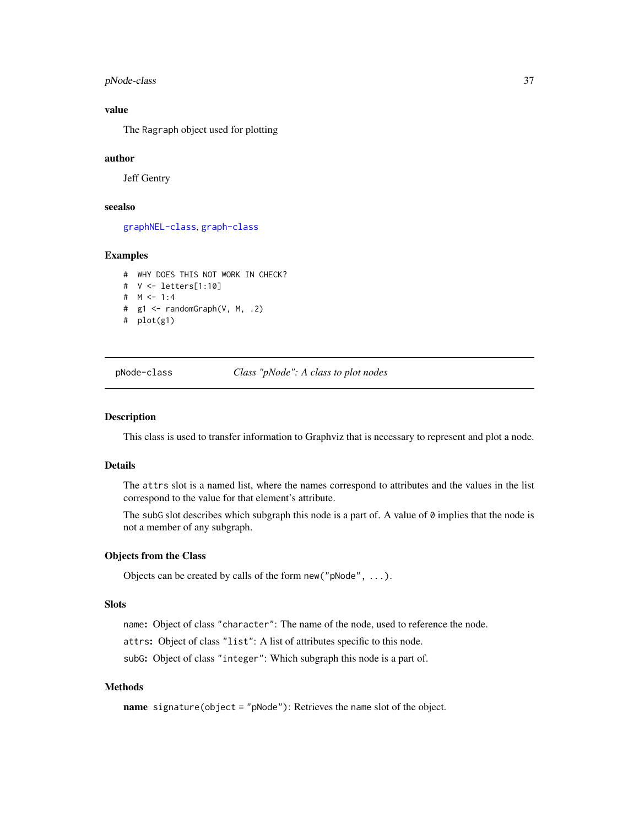<span id="page-36-0"></span>pNode-class 37

#### value

The Ragraph object used for plotting

#### author

Jeff Gentry

## seealso

[graphNEL-class](#page-0-0), [graph-class](#page-0-0)

#### Examples

# WHY DOES THIS NOT WORK IN CHECK? # V <- letters[1:10] # M <- 1:4 # g1 <- randomGraph(V, M, .2) # plot(g1)

pNode-class *Class "pNode": A class to plot nodes*

#### <span id="page-36-1"></span>Description

This class is used to transfer information to Graphviz that is necessary to represent and plot a node.

# Details

The attrs slot is a named list, where the names correspond to attributes and the values in the list correspond to the value for that element's attribute.

The subG slot describes which subgraph this node is a part of. A value of  $\theta$  implies that the node is not a member of any subgraph.

#### Objects from the Class

Objects can be created by calls of the form new("pNode", ...).

# **Slots**

name: Object of class "character": The name of the node, used to reference the node.

attrs: Object of class "list": A list of attributes specific to this node.

subG: Object of class "integer": Which subgraph this node is a part of.

# Methods

name signature(object = "pNode"): Retrieves the name slot of the object.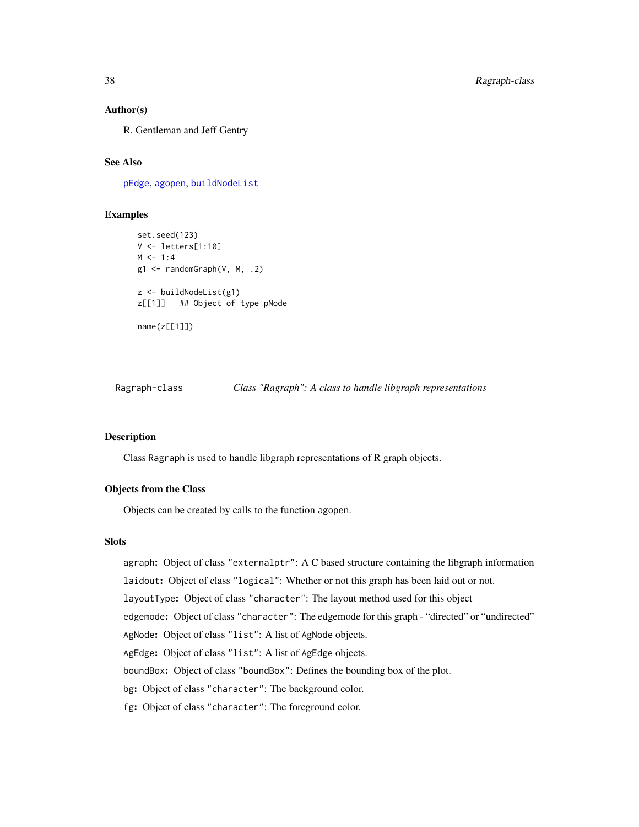#### Author(s)

R. Gentleman and Jeff Gentry

# See Also

[pEdge](#page-32-1), [agopen](#page-5-1), [buildNodeList](#page-13-1)

#### Examples

```
set.seed(123)
V \leftarrow \text{letters}[1:10]M < -1:4g1 \leftarrow randomGraph(V, M, .2)
z <- buildNodeList(g1)
z[[1]] ## Object of type pNode
name(z[[1]])
```
<span id="page-37-2"></span>Ragraph-class *Class "Ragraph": A class to handle libgraph representations*

# <span id="page-37-1"></span>**Description**

Class Ragraph is used to handle libgraph representations of R graph objects.

# Objects from the Class

Objects can be created by calls to the function agopen.

# **Slots**

agraph: Object of class "externalptr": A C based structure containing the libgraph information laidout: Object of class "logical": Whether or not this graph has been laid out or not. layoutType: Object of class "character": The layout method used for this object edgemode: Object of class "character": The edgemode for this graph - "directed" or "undirected" AgNode: Object of class "list": A list of AgNode objects. AgEdge: Object of class "list": A list of AgEdge objects. boundBox: Object of class "boundBox": Defines the bounding box of the plot. bg: Object of class "character": The background color. fg: Object of class "character": The foreground color.

<span id="page-37-0"></span>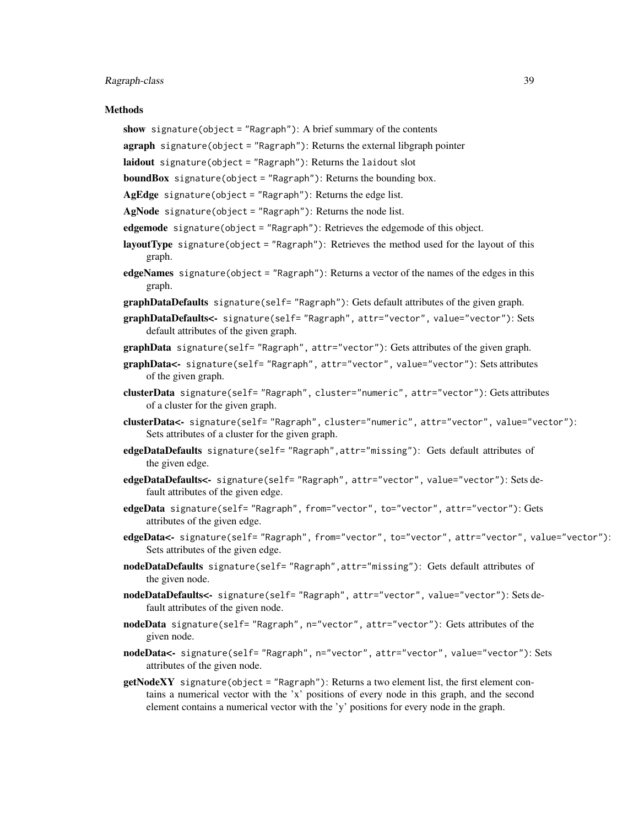#### Ragraph-class 39

#### **Methods**

- show signature(object = "Ragraph"): A brief summary of the contents
- **agraph** signature(object = "Ragraph"): Returns the external libgraph pointer
- laidout signature(object = "Ragraph"): Returns the laidout slot

boundBox signature(object = "Ragraph"): Returns the bounding box.

- $AgEdge$  signature(object = "Ragraph"): Returns the edge list.
- $AgNode$  signature(object = "Ragraph"): Returns the node list.
- edgemode signature(object = "Ragraph"): Retrieves the edgemode of this object.
- layoutType signature(object = "Ragraph"): Retrieves the method used for the layout of this graph.
- edgeNames signature(object = "Ragraph"): Returns a vector of the names of the edges in this graph.
- **graphDataDefaults** signature(self= "Ragraph"): Gets default attributes of the given graph.
- graphDataDefaults<- signature(self= "Ragraph", attr="vector", value="vector"): Sets default attributes of the given graph.
- graphData signature(self= "Ragraph", attr="vector"): Gets attributes of the given graph.
- graphData<- signature(self= "Ragraph", attr="vector", value="vector"): Sets attributes of the given graph.
- clusterData signature(self= "Ragraph", cluster="numeric", attr="vector"): Gets attributes of a cluster for the given graph.
- clusterData<- signature(self= "Ragraph", cluster="numeric", attr="vector", value="vector"): Sets attributes of a cluster for the given graph.
- edgeDataDefaults signature(self= "Ragraph", attr="missing"): Gets default attributes of the given edge.
- edgeDataDefaults<- signature(self= "Ragraph", attr="vector", value="vector"): Sets default attributes of the given edge.
- edgeData signature(self= "Ragraph", from="vector", to="vector", attr="vector"): Gets attributes of the given edge.
- edgeData<- signature(self= "Ragraph", from="vector", to="vector", attr="vector", value="vector"): Sets attributes of the given edge.
- nodeDataDefaults signature(self= "Ragraph", attr="missing"): Gets default attributes of the given node.
- nodeDataDefaults<- signature(self= "Ragraph", attr="vector", value="vector"): Sets default attributes of the given node.
- nodeData signature(self= "Ragraph", n="vector", attr="vector"): Gets attributes of the given node.
- nodeData<- signature(self= "Ragraph", n="vector", attr="vector", value="vector"): Sets attributes of the given node.
- getNodeXY signature(object = "Ragraph"): Returns a two element list, the first element contains a numerical vector with the 'x' positions of every node in this graph, and the second element contains a numerical vector with the 'y' positions for every node in the graph.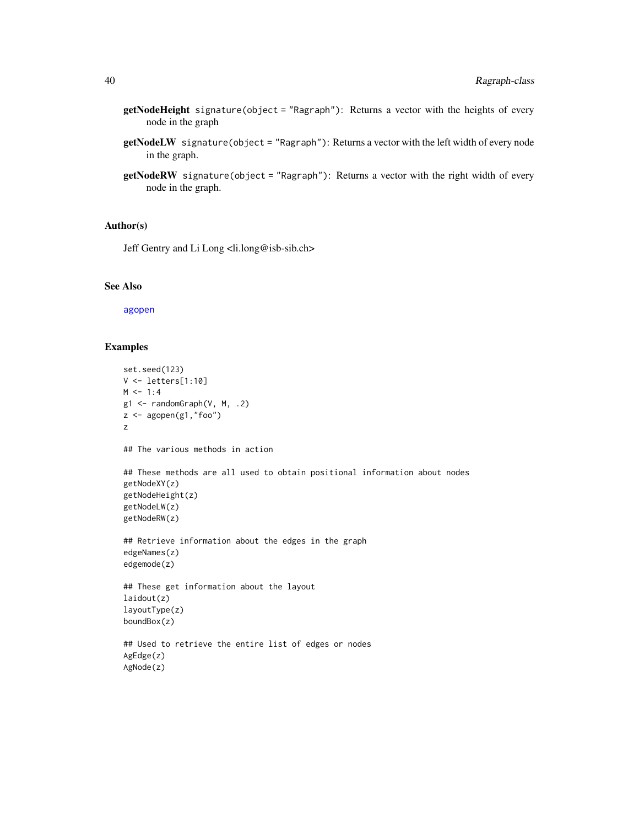- <span id="page-39-0"></span>getNodeHeight signature(object = "Ragraph"): Returns a vector with the heights of every node in the graph
- getNodeLW signature(object = "Ragraph"): Returns a vector with the left width of every node in the graph.
- getNodeRW signature(object = "Ragraph"): Returns a vector with the right width of every node in the graph.

#### Author(s)

Jeff Gentry and Li Long <li.long@isb-sib.ch>

# See Also

[agopen](#page-5-1)

```
set.seed(123)
V <- letters[1:10]
M < -1:4g1 \leftarrow randomGraph(V, M, .2)
z \leftarrow agopen(g1, "foo")z
## The various methods in action
## These methods are all used to obtain positional information about nodes
getNodeXY(z)
getNodeHeight(z)
getNodeLW(z)
getNodeRW(z)
## Retrieve information about the edges in the graph
edgeNames(z)
edgemode(z)
## These get information about the layout
laidout(z)
layoutType(z)
boundBox(z)
## Used to retrieve the entire list of edges or nodes
AgEdge(z)
AgNode(z)
```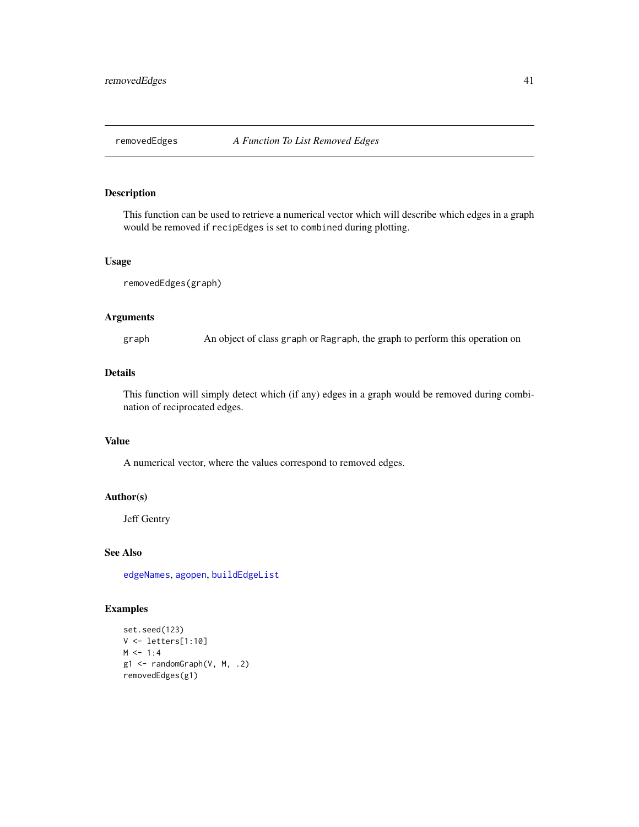<span id="page-40-0"></span>

# Description

This function can be used to retrieve a numerical vector which will describe which edges in a graph would be removed if recipEdges is set to combined during plotting.

#### Usage

```
removedEdges(graph)
```
# Arguments

graph An object of class graph or Ragraph, the graph to perform this operation on

# Details

This function will simply detect which (if any) edges in a graph would be removed during combination of reciprocated edges.

# Value

A numerical vector, where the values correspond to removed edges.

# Author(s)

Jeff Gentry

#### See Also

[edgeNames](#page-0-0), [agopen](#page-5-1), [buildEdgeList](#page-13-2)

```
set.seed(123)
V <- letters[1:10]
M < -1:4g1 \leftarrow \text{randomGraph}(V, M, .2)removedEdges(g1)
```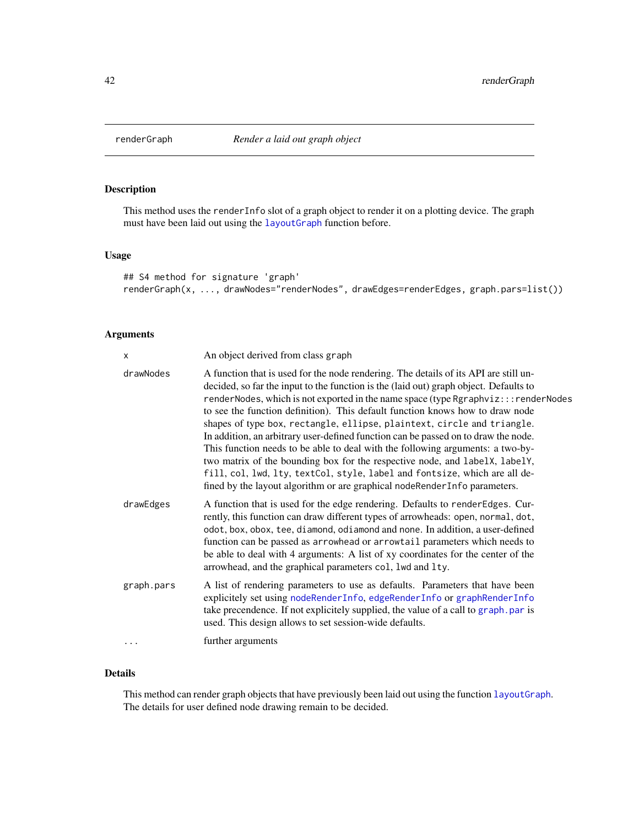<span id="page-41-1"></span><span id="page-41-0"></span>

# Description

This method uses the renderInfo slot of a graph object to render it on a plotting device. The graph must have been laid out using the [layoutGraph](#page-29-1) function before.

#### Usage

```
## S4 method for signature 'graph'
renderGraph(x, ..., drawNodes="renderNodes", drawEdges=renderEdges, graph.pars=list())
```
# Arguments

| X          | An object derived from class graph                                                                                                                                                                                                                                                                                                                                                                                                                                                                                                                                                                                                                                                                                                                                                                                                                |
|------------|---------------------------------------------------------------------------------------------------------------------------------------------------------------------------------------------------------------------------------------------------------------------------------------------------------------------------------------------------------------------------------------------------------------------------------------------------------------------------------------------------------------------------------------------------------------------------------------------------------------------------------------------------------------------------------------------------------------------------------------------------------------------------------------------------------------------------------------------------|
| drawNodes  | A function that is used for the node rendering. The details of its API are still un-<br>decided, so far the input to the function is the (laid out) graph object. Defaults to<br>renderNodes, which is not exported in the name space (type Rgraphviz:::renderNodes<br>to see the function definition). This default function knows how to draw node<br>shapes of type box, rectangle, ellipse, plaintext, circle and triangle.<br>In addition, an arbitrary user-defined function can be passed on to draw the node.<br>This function needs to be able to deal with the following arguments: a two-by-<br>two matrix of the bounding box for the respective node, and labelX, labelY,<br>fill, col, lwd, lty, textCol, style, label and fontsize, which are all de-<br>fined by the layout algorithm or are graphical nodeRenderInfo parameters. |
| drawEdges  | A function that is used for the edge rendering. Defaults to renderEdges. Cur-<br>rently, this function can draw different types of arrowheads: open, normal, dot,<br>odot, box, obox, tee, diamond, odiamond and none. In addition, a user-defined<br>function can be passed as arrowhead or arrowtail parameters which needs to<br>be able to deal with 4 arguments: A list of xy coordinates for the center of the<br>arrowhead, and the graphical parameters col, lwd and lty.                                                                                                                                                                                                                                                                                                                                                                 |
| graph.pars | A list of rendering parameters to use as defaults. Parameters that have been<br>explicitely set using nodeRenderInfo, edgeRenderInfo or graphRenderInfo<br>take precendence. If not explicitely supplied, the value of a call to graph.par is<br>used. This design allows to set session-wide defaults.                                                                                                                                                                                                                                                                                                                                                                                                                                                                                                                                           |
| $\cdots$   | further arguments                                                                                                                                                                                                                                                                                                                                                                                                                                                                                                                                                                                                                                                                                                                                                                                                                                 |

# Details

This method can render graph objects that have previously been laid out using the function [layoutGraph](#page-29-1). The details for user defined node drawing remain to be decided.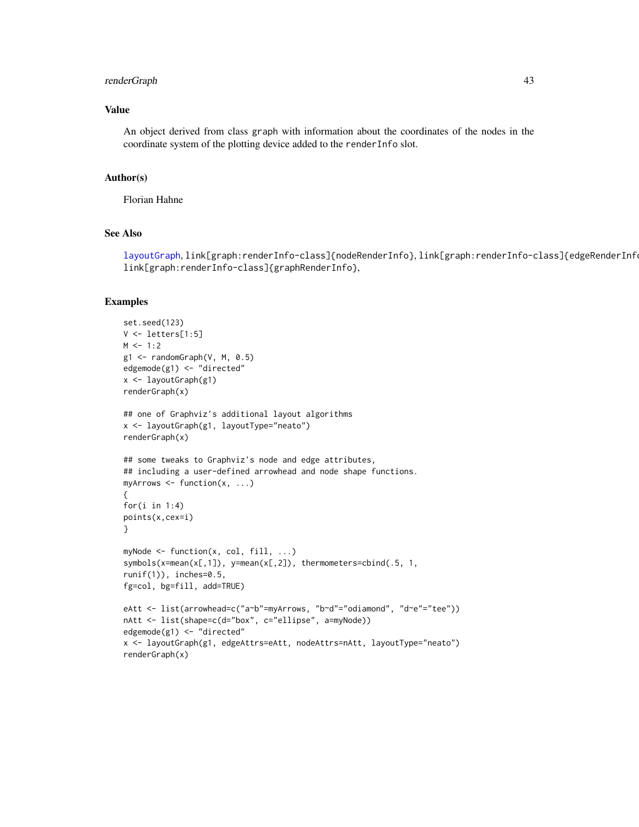# <span id="page-42-0"></span>renderGraph 43

# Value

An object derived from class graph with information about the coordinates of the nodes in the coordinate system of the plotting device added to the renderInfo slot.

#### Author(s)

Florian Hahne

# See Also

[layoutGraph](#page-29-1), link[graph:renderInfo-class]{nodeRenderInfo}, link[graph:renderInfo-class]{edgeRenderInfo}, link[graph:renderInfo-class]{graphRenderInfo},

```
set.seed(123)
V <- letters[1:5]
M < -1:2g1 \leq - \text{randomGraph}(V, M, 0.5)edgemode(g1) <- "directed"
x <- layoutGraph(g1)
renderGraph(x)
## one of Graphviz's additional layout algorithms
x <- layoutGraph(g1, layoutType="neato")
renderGraph(x)
## some tweaks to Graphviz's node and edge attributes,
## including a user-defined arrowhead and node shape functions.
myArrows <- function(x, ...)
{
for(i in 1:4)
points(x,cex=i)
}
myNode <- function(x, col, fill, ...)
symbols(x=mean(x[,1]), y=mean(x[,2]), thermometers=cbind(.5, 1,
runif(1)), inches=0.5,
fg=col, bg=fill, add=TRUE)
eAtt <- list(arrowhead=c("a~b"=myArrows, "b~d"="odiamond", "d~e"="tee"))
nAtt <- list(shape=c(d="box", c="ellipse", a=myNode))
edgemode(g1) <- "directed"
x <- layoutGraph(g1, edgeAttrs=eAtt, nodeAttrs=nAtt, layoutType="neato")
renderGraph(x)
```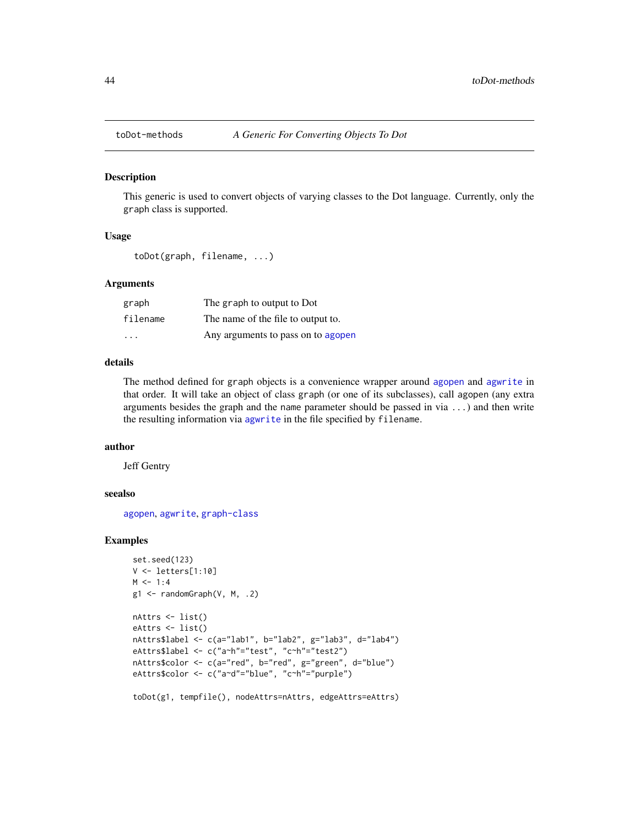<span id="page-43-0"></span>

#### Description

This generic is used to convert objects of varying classes to the Dot language. Currently, only the graph class is supported.

#### Usage

toDot(graph, filename, ...)

#### Arguments

| graph    | The graph to output to Dot         |
|----------|------------------------------------|
| filename | The name of the file to output to. |
| .        | Any arguments to pass on to agopen |

# details

The method defined for graph objects is a convenience wrapper around [agopen](#page-5-1) and [agwrite](#page-10-2) in that order. It will take an object of class graph (or one of its subclasses), call agopen (any extra arguments besides the graph and the name parameter should be passed in via ...) and then write the resulting information via [agwrite](#page-10-2) in the file specified by filename.

# author

Jeff Gentry

# seealso

[agopen](#page-5-1), [agwrite](#page-10-2), [graph-class](#page-0-0)

```
set.seed(123)
V <- letters[1:10]
M < -1:4g1 \leftarrow \text{randomGraph}(V, M, .2)nAttrs <- list()
eAttrs <- list()
nAttrs$label <- c(a="lab1", b="lab2", g="lab3", d="lab4")
eAttrs$label <- c("a~h"="test", "c~h"="test2")
nAttrs$color <- c(a="red", b="red", g="green", d="blue")
eAttrs$color <- c("a~d"="blue", "c~h"="purple")
toDot(g1, tempfile(), nodeAttrs=nAttrs, edgeAttrs=eAttrs)
```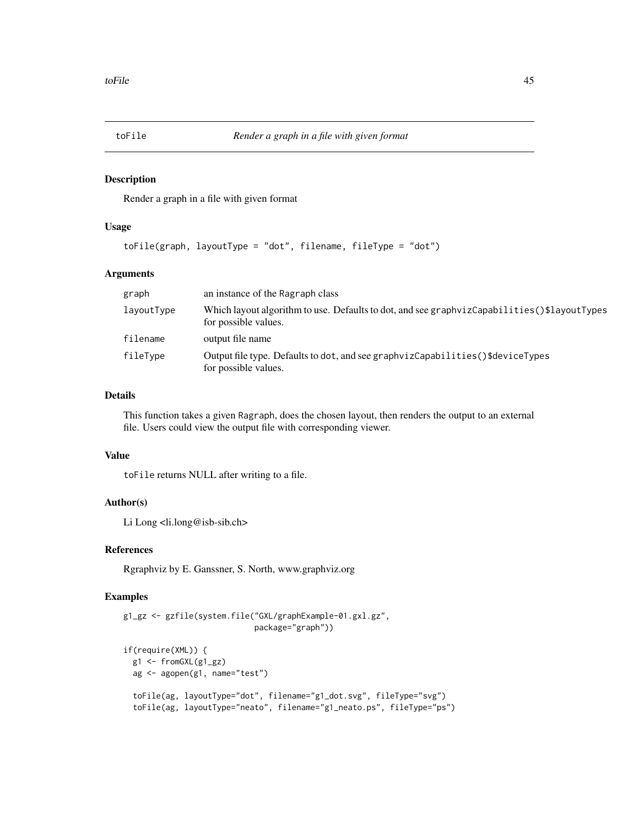<span id="page-44-0"></span>

#### Description

Render a graph in a file with given format

# Usage

toFile(graph, layoutType = "dot", filename, fileType = "dot")

# Arguments

| graph      | an instance of the Ragraph class                                                                                    |
|------------|---------------------------------------------------------------------------------------------------------------------|
| layoutType | Which layout algorithm to use. Defaults to dot, and see graphvizCapabilities()\$layoutTypes<br>for possible values. |
| filename   | output file name                                                                                                    |
| fileType   | Output file type. Defaults to dot, and see graphvizCapabilities()\$deviceTypes<br>for possible values.              |

# Details

This function takes a given Ragraph, does the chosen layout, then renders the output to an external file. Users could view the output file with corresponding viewer.

# Value

toFile returns NULL after writing to a file.

#### Author(s)

Li Long <li.long@isb-sib.ch>

# References

Rgraphviz by E. Ganssner, S. North, www.graphviz.org

```
g1_gz <- gzfile(system.file("GXL/graphExample-01.gxl.gz",
                            package="graph"))
if(require(XML)) {
  g1 <- fromGXL(g1_gz)
  ag <- agopen(g1, name="test")
  toFile(ag, layoutType="dot", filename="g1_dot.svg", fileType="svg")
  toFile(ag, layoutType="neato", filename="g1_neato.ps", fileType="ps")
```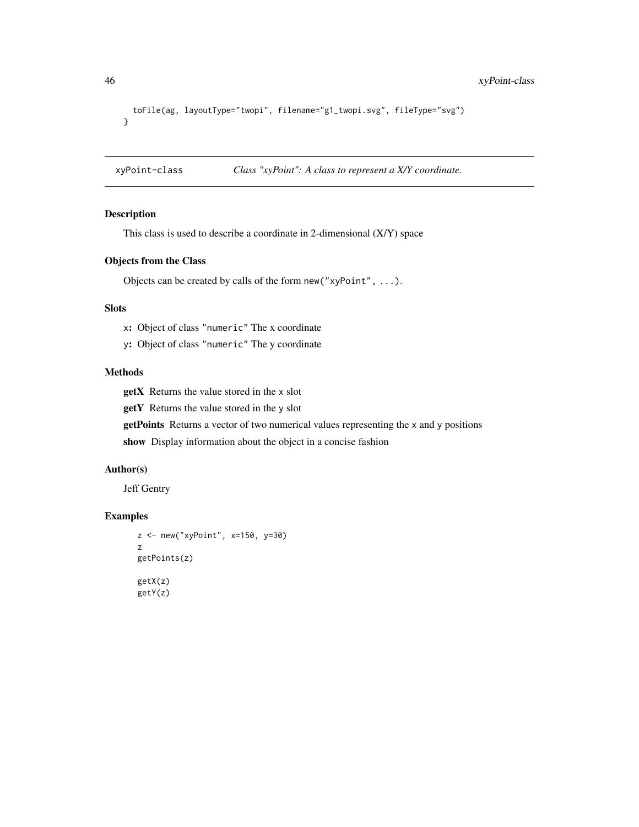```
toFile(ag, layoutType="twopi", filename="g1_twopi.svg", fileType="svg")
}
```
xyPoint-class *Class "xyPoint": A class to represent a X/Y coordinate.*

# <span id="page-45-1"></span>Description

This class is used to describe a coordinate in 2-dimensional (X/Y) space

#### Objects from the Class

Objects can be created by calls of the form new("xyPoint", ...).

#### Slots

x: Object of class "numeric" The x coordinate

y: Object of class "numeric" The y coordinate

# Methods

getX Returns the value stored in the x slot

getY Returns the value stored in the y slot

getPoints Returns a vector of two numerical values representing the x and y positions

show Display information about the object in a concise fashion

# Author(s)

Jeff Gentry

```
z <- new("xyPoint", x=150, y=30)
z
getPoints(z)
getX(z)
getY(z)
```
<span id="page-45-0"></span>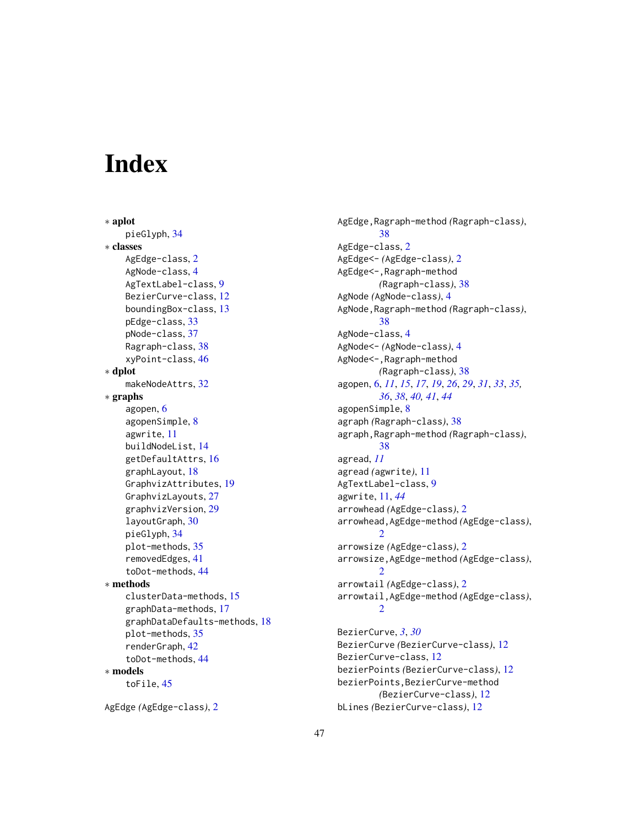# <span id="page-46-0"></span>**Index**

∗ aplot pieGlyph, [34](#page-33-0) ∗ classes AgEdge-class, [2](#page-1-0) AgNode-class, [4](#page-3-0) AgTextLabel-class, [9](#page-8-0) BezierCurve-class, [12](#page-11-0) boundingBox-class, [13](#page-12-0) pEdge-class, [33](#page-32-0) pNode-class, [37](#page-36-0) Ragraph-class, [38](#page-37-0) xyPoint-class, [46](#page-45-0) ∗ dplot makeNodeAttrs, [32](#page-31-0) ∗ graphs agopen, [6](#page-5-0) agopenSimple, [8](#page-7-0) agwrite, [11](#page-10-0) buildNodeList, [14](#page-13-0) getDefaultAttrs, [16](#page-15-0) graphLayout, [18](#page-17-0) GraphvizAttributes, [19](#page-18-0) GraphvizLayouts, [27](#page-26-0) graphvizVersion, [29](#page-28-0) layoutGraph, [30](#page-29-0) pieGlyph, [34](#page-33-0) plot-methods, [35](#page-34-0) removedEdges, [41](#page-40-0) toDot-methods, [44](#page-43-0) ∗ methods clusterData-methods, [15](#page-14-0) graphData-methods, [17](#page-16-0) graphDataDefaults-methods, [18](#page-17-0) plot-methods, [35](#page-34-0) renderGraph, [42](#page-41-0) toDot-methods, [44](#page-43-0) ∗ models toFile, [45](#page-44-0)

AgEdge *(*AgEdge-class*)*, [2](#page-1-0)

AgEdge,Ragraph-method *(*Ragraph-class*)*, [38](#page-37-0) AgEdge-class, [2](#page-1-0) AgEdge<- *(*AgEdge-class*)*, [2](#page-1-0) AgEdge<-,Ragraph-method *(*Ragraph-class*)*, [38](#page-37-0) AgNode *(*AgNode-class*)*, [4](#page-3-0) AgNode,Ragraph-method *(*Ragraph-class*)*, [38](#page-37-0) AgNode-class, [4](#page-3-0) AgNode<- *(*AgNode-class*)*, [4](#page-3-0) AgNode<-,Ragraph-method *(*Ragraph-class*)*, [38](#page-37-0) agopen, [6,](#page-5-0) *[11](#page-10-0)*, *[15](#page-14-0)*, *[17](#page-16-0)*, *[19](#page-18-0)*, *[26](#page-25-0)*, *[29](#page-28-0)*, *[31](#page-30-0)*, *[33](#page-32-0)*, *[35,](#page-34-0) [36](#page-35-0)*, *[38](#page-37-0)*, *[40,](#page-39-0) [41](#page-40-0)*, *[44](#page-43-0)* agopenSimple, [8](#page-7-0) agraph *(*Ragraph-class*)*, [38](#page-37-0) agraph,Ragraph-method *(*Ragraph-class*)*, [38](#page-37-0) agread, *[11](#page-10-0)* agread *(*agwrite*)*, [11](#page-10-0) AgTextLabel-class, [9](#page-8-0) agwrite, [11,](#page-10-0) *[44](#page-43-0)* arrowhead *(*AgEdge-class*)*, [2](#page-1-0) arrowhead,AgEdge-method *(*AgEdge-class*)*,  $\overline{2}$  $\overline{2}$  $\overline{2}$ arrowsize *(*AgEdge-class*)*, [2](#page-1-0) arrowsize,AgEdge-method *(*AgEdge-class*)*,  $\mathcal{D}$ arrowtail *(*AgEdge-class*)*, [2](#page-1-0) arrowtail,AgEdge-method *(*AgEdge-class*)*,  $\mathcal{D}$ BezierCurve, *[3](#page-2-0)*, *[30](#page-29-0)* BezierCurve *(*BezierCurve-class*)*, [12](#page-11-0)

BezierCurve-class, [12](#page-11-0) bezierPoints *(*BezierCurve-class*)*, [12](#page-11-0) bezierPoints,BezierCurve-method *(*BezierCurve-class*)*, [12](#page-11-0) bLines *(*BezierCurve-class*)*, [12](#page-11-0)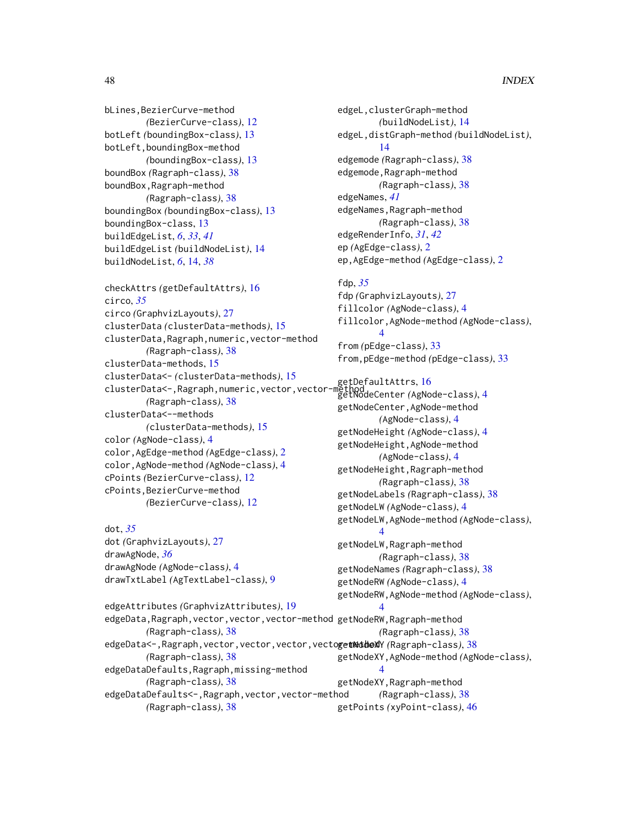# 48 INDEX

bLines,BezierCurve-method *(*BezierCurve-class*)*, [12](#page-11-0) botLeft *(*boundingBox-class*)*, [13](#page-12-0) botLeft,boundingBox-method *(*boundingBox-class*)*, [13](#page-12-0) boundBox *(*Ragraph-class*)*, [38](#page-37-0) boundBox,Ragraph-method *(*Ragraph-class*)*, [38](#page-37-0) boundingBox *(*boundingBox-class*)*, [13](#page-12-0) boundingBox-class, [13](#page-12-0) buildEdgeList, *[6](#page-5-0)*, *[33](#page-32-0)*, *[41](#page-40-0)* buildEdgeList *(*buildNodeList*)*, [14](#page-13-0) buildNodeList, *[6](#page-5-0)*, [14,](#page-13-0) *[38](#page-37-0)*

```
checkAttrs (getDefaultAttrs), 16
circo, 35
circo (GraphvizLayouts), 27
clusterData (clusterData-methods), 15
clusterData,Ragraph,numeric,vector-method
        (Ragraph-class), 38
clusterData-methods, 15
clusterData<- (clusterData-methods), 15
clusterData\= (clusterData-methods), 15<br>clusterData<-,Ragraph,numeric,vector,vector-methodaconter(AgNe
         (Ragraph-class), 38
clusterData<--methods
        (clusterData-methods), 15
color (AgNode-class), 4
color,AgEdge-method (AgEdge-class), 2
color,AgNode-method (AgNode-class), 4
cPoints (BezierCurve-class), 12
cPoints,BezierCurve-method
        (BezierCurve-class), 12
```
dot, *[35](#page-34-0)* dot *(*GraphvizLayouts*)*, [27](#page-26-0) drawAgNode, *[36](#page-35-0)* drawAgNode *(*AgNode-class*)*, [4](#page-3-0) drawTxtLabel *(*AgTextLabel-class*)*, [9](#page-8-0) edgeL,clusterGraph-method *(*buildNodeList*)*, [14](#page-13-0) edgeL,distGraph-method *(*buildNodeList*)*, [14](#page-13-0) edgemode *(*Ragraph-class*)*, [38](#page-37-0) edgemode,Ragraph-method *(*Ragraph-class*)*, [38](#page-37-0) edgeNames, *[41](#page-40-0)* edgeNames,Ragraph-method *(*Ragraph-class*)*, [38](#page-37-0) edgeRenderInfo, *[31](#page-30-0)*, *[42](#page-41-0)* ep *(*AgEdge-class*)*, [2](#page-1-0) ep,AgEdge-method *(*AgEdge-class*)*, [2](#page-1-0)

fdp, *[35](#page-34-0)* fdp *(*GraphvizLayouts*)*, [27](#page-26-0) fillcolor *(*AgNode-class*)*, [4](#page-3-0) fillcolor,AgNode-method *(*AgNode-class*)*, [4](#page-3-0) from *(*pEdge-class*)*, [33](#page-32-0) from,pEdge-method *(*pEdge-class*)*, [33](#page-32-0)

```
getNodeCenter (AgNode-class), 4
getNodeCenter,AgNode-method
        (AgNode-class), 4
getNodeHeight (AgNode-class), 4
getNodeHeight,AgNode-method
        (AgNode-class), 4
getNodeHeight,Ragraph-method
        (Ragraph-class), 38
getNodeLabels (Ragraph-class), 38
getNodeLW (AgNode-class), 4
getNodeLW,AgNode-method (AgNode-class),
        4
getNodeLW,Ragraph-method
        (Ragraph-class), 38
getNodeNames (Ragraph-class), 38
getNodeRW (AgNode-class), 4
getNodeRW,AgNode-method (AgNode-class),
```

```
edgeAttributes (GraphvizAttributes), 19
edgeData,Ragraph,vector,vector,vector-method getNodeRW,Ragraph-method
        (Ragraph-class), 38
edgeData<-,Ragraph,vector,vector,vector,vectogetNodeXY (Ragraph-class)38
        (Ragraph-class), 38
edgeDataDefaults,Ragraph,missing-method
        (Ragraph-class), 38
edgeDataDefaults<-,Ragraph,vector,vector-method
        (Ragraph-class), 38
                                                       4
                                                       (Ragraph-class), 38
                                              getNodeXY,AgNode-method (AgNode-class),
                                                       4
                                              getNodeXY,Ragraph-method
                                                       (Ragraph-class), 38
                                              getPoints (xyPoint-class), 46
```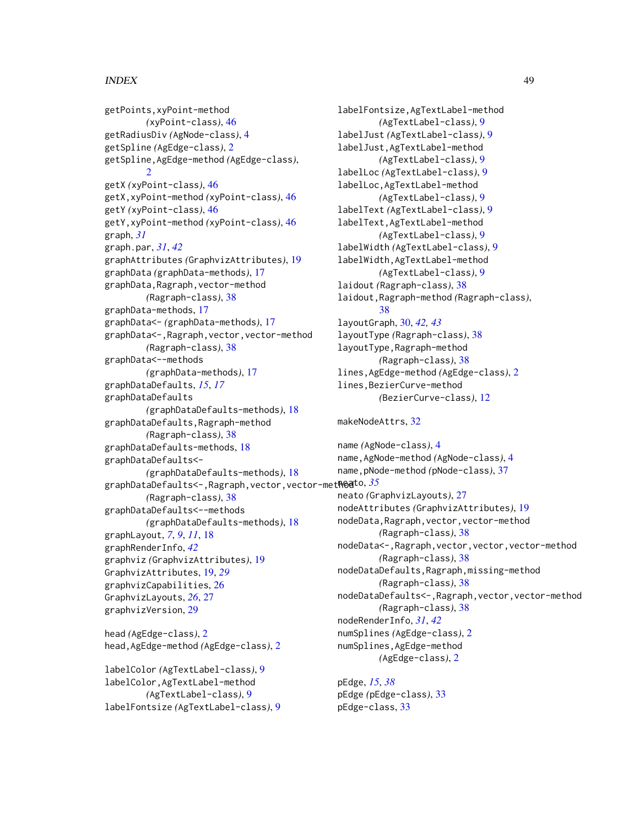# INDEX 49

getPoints,xyPoint-method *(*xyPoint-class*)*, [46](#page-45-0) getRadiusDiv *(*AgNode-class*)*, [4](#page-3-0) getSpline *(*AgEdge-class*)*, [2](#page-1-0) getSpline,AgEdge-method *(*AgEdge-class*)*,  $\mathcal{D}$ getX *(*xyPoint-class*)*, [46](#page-45-0) getX,xyPoint-method *(*xyPoint-class*)*, [46](#page-45-0) getY *(*xyPoint-class*)*, [46](#page-45-0) getY,xyPoint-method *(*xyPoint-class*)*, [46](#page-45-0) graph, *[31](#page-30-0)* graph.par, *[31](#page-30-0)*, *[42](#page-41-0)* graphAttributes *(*GraphvizAttributes*)*, [19](#page-18-0) graphData *(*graphData-methods*)*, [17](#page-16-0) graphData,Ragraph,vector-method *(*Ragraph-class*)*, [38](#page-37-0) graphData-methods, [17](#page-16-0) graphData<- *(*graphData-methods*)*, [17](#page-16-0) graphData<-,Ragraph,vector,vector-method *(*Ragraph-class*)*, [38](#page-37-0) graphData<--methods *(*graphData-methods*)*, [17](#page-16-0) graphDataDefaults, *[15](#page-14-0)*, *[17](#page-16-0)* graphDataDefaults *(*graphDataDefaults-methods*)*, [18](#page-17-0) graphDataDefaults,Ragraph-method *(*Ragraph-class*)*, [38](#page-37-0) graphDataDefaults-methods, [18](#page-17-0) graphDataDefaults<- *(*graphDataDefaults-methods*)*, [18](#page-17-0) graphDataDefaults<-,Ragraph,vector,vector-method neato, *[35](#page-34-0) (*Ragraph-class*)*, [38](#page-37-0) graphDataDefaults<--methods *(*graphDataDefaults-methods*)*, [18](#page-17-0) graphLayout, *[7](#page-6-0)*, *[9](#page-8-0)*, *[11](#page-10-0)*, [18](#page-17-0) graphRenderInfo, *[42](#page-41-0)* graphviz *(*GraphvizAttributes*)*, [19](#page-18-0) GraphvizAttributes, [19,](#page-18-0) *[29](#page-28-0)* graphvizCapabilities, [26](#page-25-0) GraphvizLayouts, *[26](#page-25-0)*, [27](#page-26-0) graphvizVersion, [29](#page-28-0) head *(*AgEdge-class*)*, [2](#page-1-0) head,AgEdge-method *(*AgEdge-class*)*, [2](#page-1-0)

```
labelColor (AgTextLabel-class), 9
labelColor,AgTextLabel-method
        (AgTextLabel-class), 9
labelFontsize (AgTextLabel-class), 9
```
labelFontsize,AgTextLabel-method *(*AgTextLabel-class*)*, [9](#page-8-0) labelJust *(*AgTextLabel-class*)*, [9](#page-8-0) labelJust,AgTextLabel-method *(*AgTextLabel-class*)*, [9](#page-8-0) labelLoc *(*AgTextLabel-class*)*, [9](#page-8-0) labelLoc,AgTextLabel-method *(*AgTextLabel-class*)*, [9](#page-8-0) labelText *(*AgTextLabel-class*)*, [9](#page-8-0) labelText,AgTextLabel-method *(*AgTextLabel-class*)*, [9](#page-8-0) labelWidth *(*AgTextLabel-class*)*, [9](#page-8-0) labelWidth,AgTextLabel-method *(*AgTextLabel-class*)*, [9](#page-8-0) laidout *(*Ragraph-class*)*, [38](#page-37-0) laidout,Ragraph-method *(*Ragraph-class*)*, [38](#page-37-0) layoutGraph, [30,](#page-29-0) *[42,](#page-41-0) [43](#page-42-0)* layoutType *(*Ragraph-class*)*, [38](#page-37-0) layoutType,Ragraph-method *(*Ragraph-class*)*, [38](#page-37-0) lines,AgEdge-method *(*AgEdge-class*)*, [2](#page-1-0) lines,BezierCurve-method *(*BezierCurve-class*)*, [12](#page-11-0)

makeNodeAttrs, [32](#page-31-0)

name *(*AgNode-class*)*, [4](#page-3-0) name,AgNode-method *(*AgNode-class*)*, [4](#page-3-0) name,pNode-method *(*pNode-class*)*, [37](#page-36-0) neato *(*GraphvizLayouts*)*, [27](#page-26-0) nodeAttributes *(*GraphvizAttributes*)*, [19](#page-18-0) nodeData,Ragraph,vector,vector-method *(*Ragraph-class*)*, [38](#page-37-0) nodeData<-,Ragraph,vector,vector,vector-method *(*Ragraph-class*)*, [38](#page-37-0) nodeDataDefaults,Ragraph,missing-method *(*Ragraph-class*)*, [38](#page-37-0) nodeDataDefaults<-,Ragraph,vector,vector-method *(*Ragraph-class*)*, [38](#page-37-0) nodeRenderInfo, *[31](#page-30-0)*, *[42](#page-41-0)* numSplines *(*AgEdge-class*)*, [2](#page-1-0) numSplines,AgEdge-method *(*AgEdge-class*)*, [2](#page-1-0)

pEdge, *[15](#page-14-0)*, *[38](#page-37-0)* pEdge *(*pEdge-class*)*, [33](#page-32-0) pEdge-class, [33](#page-32-0)